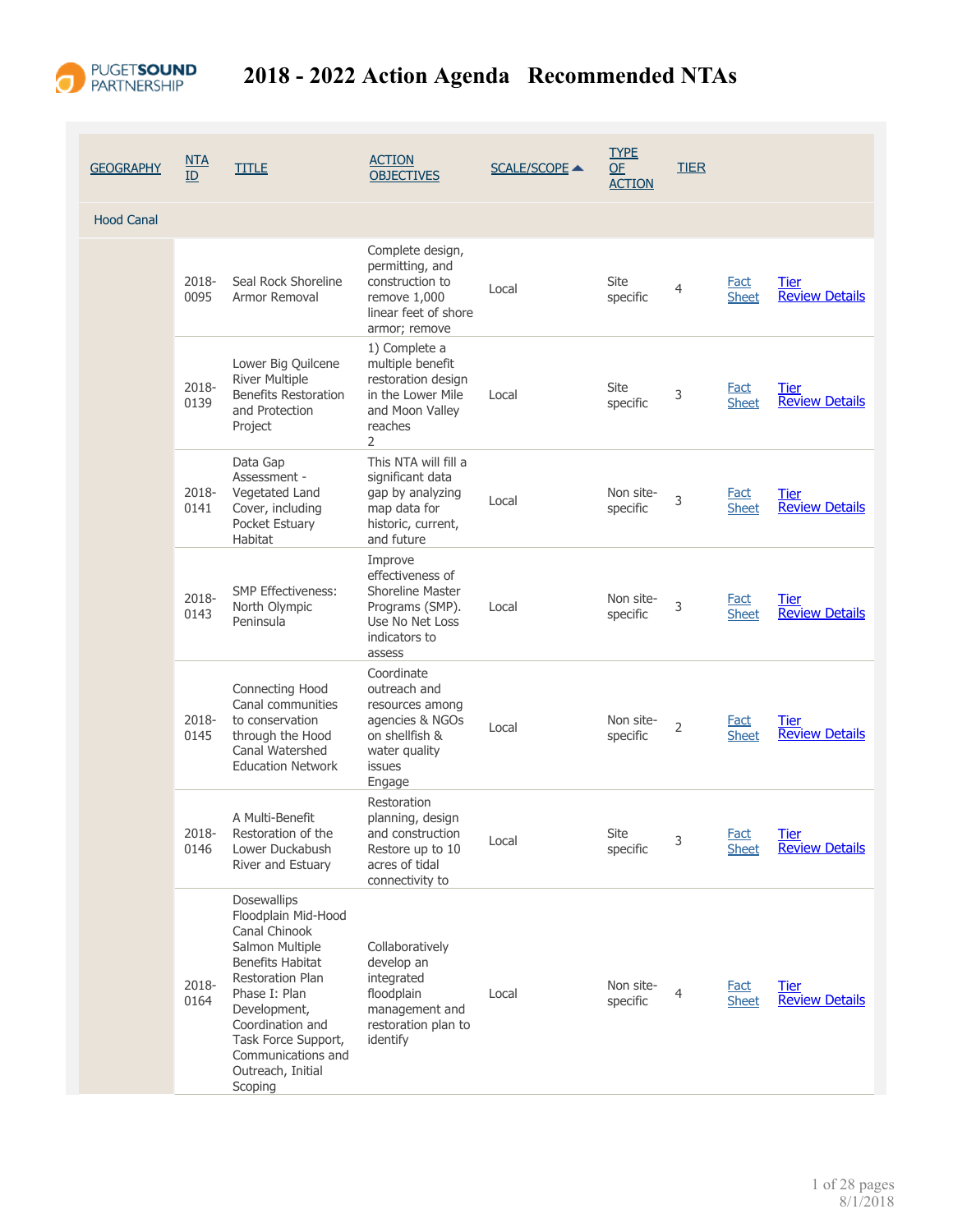

| <b>GEOGRAPHY</b>  | <u>NTA</u><br>ID | <b>TITLE</b>                                                                                                                                                                                                                                                   | <b>ACTION</b><br><b>OBJECTIVES</b>                                                                                      | <b>SCALE/SCOPE ▲</b> | <b>TYPE</b><br>QE<br><b>ACTION</b> | <b>TIER</b> |                             |                                      |
|-------------------|------------------|----------------------------------------------------------------------------------------------------------------------------------------------------------------------------------------------------------------------------------------------------------------|-------------------------------------------------------------------------------------------------------------------------|----------------------|------------------------------------|-------------|-----------------------------|--------------------------------------|
| <b>Hood Canal</b> |                  |                                                                                                                                                                                                                                                                |                                                                                                                         |                      |                                    |             |                             |                                      |
|                   | 2018-<br>0095    | Seal Rock Shoreline<br>Armor Removal                                                                                                                                                                                                                           | Complete design,<br>permitting, and<br>construction to<br>remove 1,000<br>linear feet of shore<br>armor; remove         | Local                | Site<br>specific                   | 4           | <b>Fact</b><br><b>Sheet</b> | <b>Tier</b><br><b>Review Details</b> |
|                   | 2018-<br>0139    | Lower Big Quilcene<br><b>River Multiple</b><br><b>Benefits Restoration</b><br>and Protection<br>Project                                                                                                                                                        | 1) Complete a<br>multiple benefit<br>restoration design<br>in the Lower Mile<br>and Moon Valley<br>reaches<br>2         | Local                | Site<br>specific                   | 3           | <b>Fact</b><br><b>Sheet</b> | Tier<br><b>Review Details</b>        |
|                   | 2018-<br>0141    | Data Gap<br>Assessment -<br>Vegetated Land<br>Cover, including<br>Pocket Estuary<br><b>Habitat</b>                                                                                                                                                             | This NTA will fill a<br>significant data<br>gap by analyzing<br>map data for<br>historic, current,<br>and future        | Local                | Non site-<br>specific              | 3           | Fact<br><b>Sheet</b>        | <b>Tier</b><br><b>Review Details</b> |
|                   | 2018-<br>0143    | <b>SMP Effectiveness:</b><br>North Olympic<br>Peninsula                                                                                                                                                                                                        | Improve<br>effectiveness of<br><b>Shoreline Master</b><br>Programs (SMP).<br>Use No Net Loss<br>indicators to<br>assess | Local                | Non site-<br>specific              | 3           | Fact<br><b>Sheet</b>        | Tier<br><b>Review Details</b>        |
|                   | 2018-<br>0145    | Connecting Hood<br>Canal communities<br>to conservation<br>through the Hood<br>Canal Watershed<br><b>Education Network</b>                                                                                                                                     | Coordinate<br>outreach and<br>resources among<br>agencies & NGOs<br>on shellfish &<br>water quality<br>issues<br>Engage | Local                | Non site-<br>specific              | 2           | Fact<br><b>Sheet</b>        | Tier<br><b>Review Details</b>        |
|                   | 2018-<br>0146    | A Multi-Benefit<br>Restoration of the<br>Lower Duckabush<br>River and Estuary                                                                                                                                                                                  | Restoration<br>planning, design<br>and construction<br>Restore up to 10<br>acres of tidal<br>connectivity to            | Local                | Site<br>specific                   | 3           | <b>Fact</b><br><b>Sheet</b> | <b>Tier</b><br><b>Review Details</b> |
|                   | 2018-<br>0164    | Dosewallips<br>Floodplain Mid-Hood<br>Canal Chinook<br>Salmon Multiple<br><b>Benefits Habitat</b><br><b>Restoration Plan</b><br>Phase I: Plan<br>Development,<br>Coordination and<br>Task Force Support,<br>Communications and<br>Outreach, Initial<br>Scoping | Collaboratively<br>develop an<br>integrated<br>floodplain<br>management and<br>restoration plan to<br>identify          | Local                | Non site-<br>specific              | 4           | <b>Fact</b><br><b>Sheet</b> | <b>Tier</b><br><b>Review Details</b> |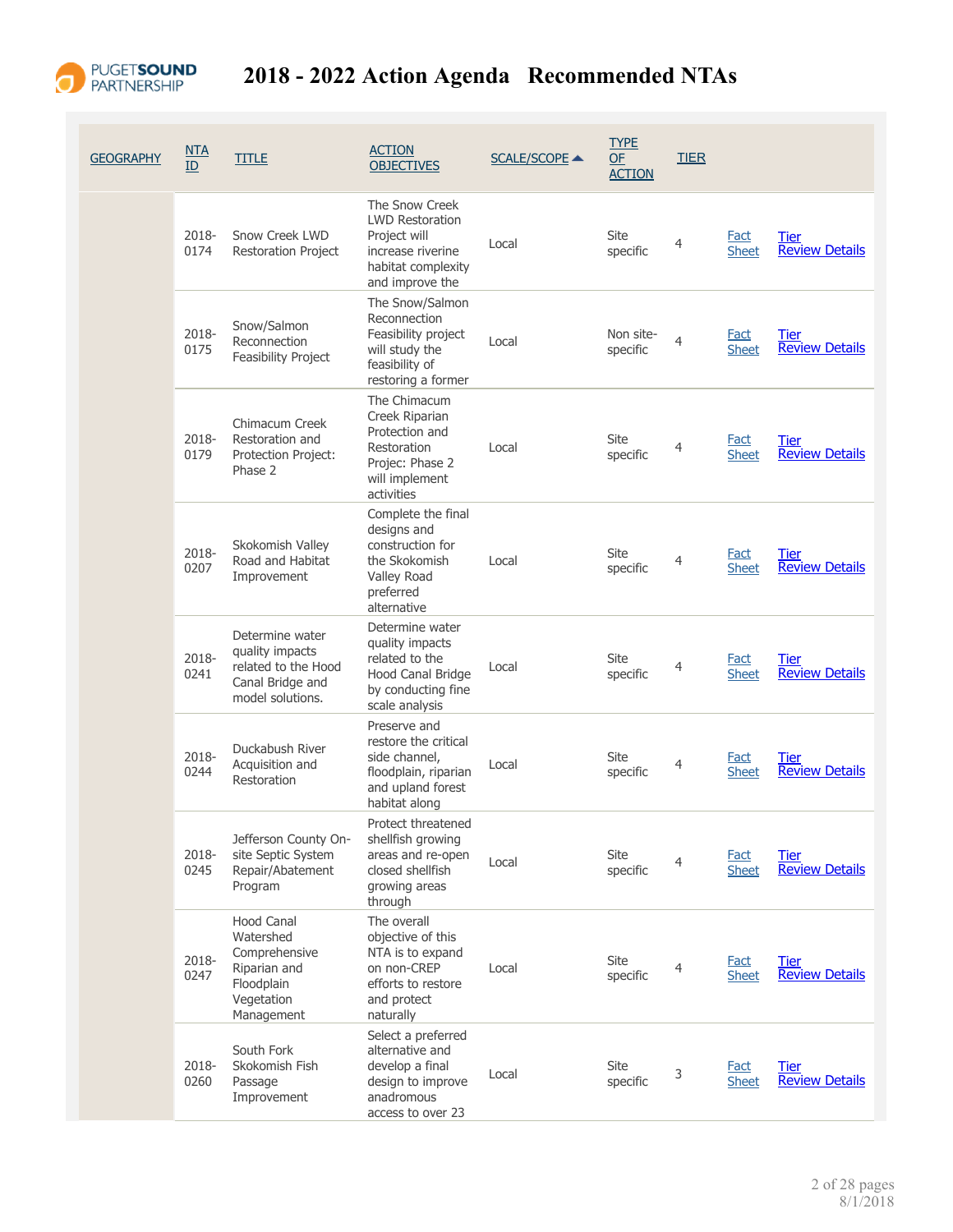

| <b>GEOGRAPHY</b> | NTA<br>ID     | <b>TITLE</b>                                                                                       | <b>ACTION</b><br><b>OBJECTIVES</b>                                                                                     | <b>SCALE/SCOPE ▲</b> | <b>TYPE</b><br><b>OF</b><br><b>ACTION</b> | <b>TIER</b>    |                             |                                      |
|------------------|---------------|----------------------------------------------------------------------------------------------------|------------------------------------------------------------------------------------------------------------------------|----------------------|-------------------------------------------|----------------|-----------------------------|--------------------------------------|
|                  | 2018-<br>0174 | Snow Creek LWD<br><b>Restoration Project</b>                                                       | The Snow Creek<br><b>LWD Restoration</b><br>Project will<br>increase riverine<br>habitat complexity<br>and improve the | Local                | Site<br>specific                          | $\overline{4}$ | Fact<br><b>Sheet</b>        | Tier<br><b>Review Details</b>        |
|                  | 2018-<br>0175 | Snow/Salmon<br>Reconnection<br>Feasibility Project                                                 | The Snow/Salmon<br>Reconnection<br>Feasibility project<br>will study the<br>feasibility of<br>restoring a former       | Local                | Non site-<br>specific                     | $\overline{4}$ | Fact<br><b>Sheet</b>        | Tier<br><b>Review Details</b>        |
|                  | 2018-<br>0179 | Chimacum Creek<br>Restoration and<br>Protection Project:<br>Phase 2                                | The Chimacum<br>Creek Riparian<br>Protection and<br>Restoration<br>Projec: Phase 2<br>will implement<br>activities     | Local                | Site<br>specific                          | 4              | <b>Fact</b><br><b>Sheet</b> | Tier<br><b>Review Details</b>        |
|                  | 2018-<br>0207 | Skokomish Valley<br>Road and Habitat<br>Improvement                                                | Complete the final<br>designs and<br>construction for<br>the Skokomish<br>Valley Road<br>preferred<br>alternative      | Local                | Site<br>specific                          | 4              | Fact<br><b>Sheet</b>        | Tier<br><b>Review Details</b>        |
|                  | 2018-<br>0241 | Determine water<br>quality impacts<br>related to the Hood<br>Canal Bridge and<br>model solutions.  | Determine water<br>quality impacts<br>related to the<br>Hood Canal Bridge<br>by conducting fine<br>scale analysis      | Local                | Site<br>specific                          | 4              | Fact<br><b>Sheet</b>        | Tier<br><b>Review Details</b>        |
|                  | 2018-<br>0244 | Duckabush River<br>Acquisition and<br>Restoration                                                  | Preserve and<br>restore the critical<br>side channel,<br>floodplain, riparian<br>and upland forest<br>habitat along    | Local                | Site<br>specific                          | 4              | <b>Fact</b><br><b>Sheet</b> | Tier<br><b>Review Details</b>        |
|                  | 2018-<br>0245 | Jefferson County On-<br>site Septic System<br>Repair/Abatement<br>Program                          | Protect threatened<br>shellfish growing<br>areas and re-open<br>closed shellfish<br>growing areas<br>through           | Local                | Site<br>specific                          | 4              | <b>Fact</b><br><b>Sheet</b> | Tier<br><b>Review Details</b>        |
|                  | 2018-<br>0247 | Hood Canal<br>Watershed<br>Comprehensive<br>Riparian and<br>Floodplain<br>Vegetation<br>Management | The overall<br>objective of this<br>NTA is to expand<br>on non-CREP<br>efforts to restore<br>and protect<br>naturally  | Local                | <b>Site</b><br>specific                   | $\overline{4}$ | <b>Fact</b><br><b>Sheet</b> | Tier<br><b>Review Details</b>        |
|                  | 2018-<br>0260 | South Fork<br>Skokomish Fish<br>Passage<br>Improvement                                             | Select a preferred<br>alternative and<br>develop a final<br>design to improve<br>anadromous<br>access to over 23       | Local                | Site<br>specific                          | 3              | <b>Fact</b><br><b>Sheet</b> | <b>Tier</b><br><b>Review Details</b> |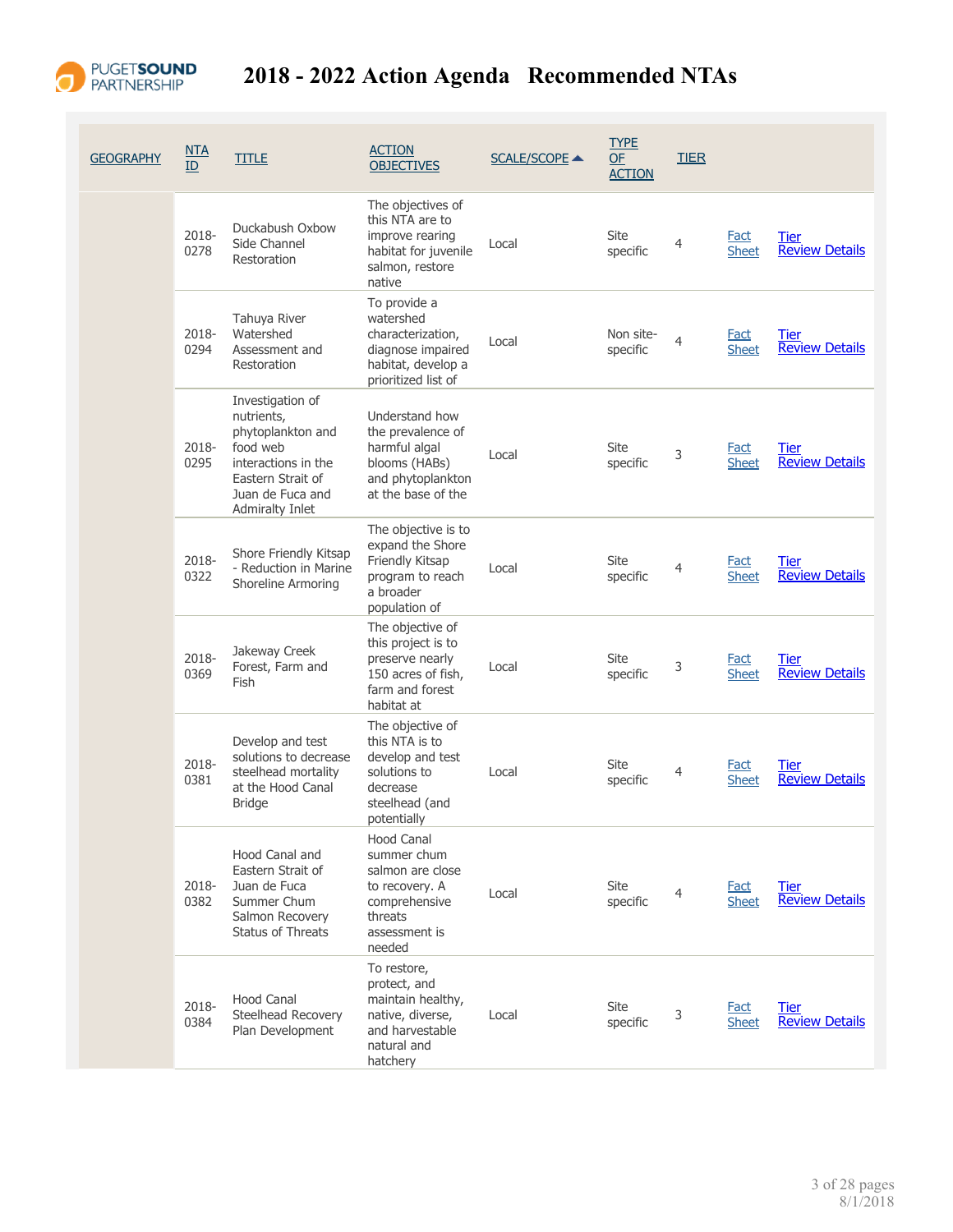

| <b>GEOGRAPHY</b> | NTA<br>ID     | <b>TITLE</b>                                                                                                                                       | <b>ACTION</b><br><b>OBJECTIVES</b>                                                                                            | <b>SCALE/SCOPE ▲</b> | <b>TYPE</b><br>OF<br><b>ACTION</b> | <b>TIER</b>    |                             |                                      |
|------------------|---------------|----------------------------------------------------------------------------------------------------------------------------------------------------|-------------------------------------------------------------------------------------------------------------------------------|----------------------|------------------------------------|----------------|-----------------------------|--------------------------------------|
|                  | 2018-<br>0278 | Duckabush Oxbow<br>Side Channel<br>Restoration                                                                                                     | The objectives of<br>this NTA are to<br>improve rearing<br>habitat for juvenile<br>salmon, restore<br>native                  | Local                | Site<br>specific                   | 4              | Fact<br><b>Sheet</b>        | Tier<br><b>Review Details</b>        |
|                  | 2018-<br>0294 | Tahuya River<br>Watershed<br>Assessment and<br>Restoration                                                                                         | To provide a<br>watershed<br>characterization,<br>diagnose impaired<br>habitat, develop a<br>prioritized list of              | Local                | Non site-<br>specific              | $\overline{4}$ | Fact<br><b>Sheet</b>        | <b>Tier</b><br><b>Review Details</b> |
|                  | 2018-<br>0295 | Investigation of<br>nutrients,<br>phytoplankton and<br>food web<br>interactions in the<br>Eastern Strait of<br>Juan de Fuca and<br>Admiralty Inlet | Understand how<br>the prevalence of<br>harmful algal<br>blooms (HABs)<br>and phytoplankton<br>at the base of the              | Local                | Site<br>specific                   | 3              | <b>Fact</b><br><b>Sheet</b> | <b>Tier</b><br><b>Review Details</b> |
|                  | 2018-<br>0322 | Shore Friendly Kitsap<br>- Reduction in Marine<br>Shoreline Armoring                                                                               | The objective is to<br>expand the Shore<br>Friendly Kitsap<br>program to reach<br>a broader<br>population of                  | Local                | Site<br>specific                   | 4              | Fact<br><b>Sheet</b>        | <b>Tier</b><br><b>Review Details</b> |
|                  | 2018-<br>0369 | Jakeway Creek<br>Forest, Farm and<br>Fish                                                                                                          | The objective of<br>this project is to<br>preserve nearly<br>150 acres of fish,<br>farm and forest<br>habitat at              | Local                | Site<br>specific                   | 3              | Fact<br><b>Sheet</b>        | Tier<br><b>Review Details</b>        |
|                  | 2018-<br>0381 | Develop and test<br>solutions to decrease<br>steelhead mortality<br>at the Hood Canal<br><b>Bridge</b>                                             | The objective of<br>this NTA is to<br>develop and test<br>solutions to<br>decrease<br>steelhead (and<br>potentially           | Local                | Site<br>specific                   | 4              | <b>Fact</b><br><b>Sheet</b> | Tier<br><b>Review Details</b>        |
|                  | 2018-<br>0382 | Hood Canal and<br>Eastern Strait of<br>Juan de Fuca<br>Summer Chum<br>Salmon Recovery<br><b>Status of Threats</b>                                  | <b>Hood Canal</b><br>summer chum<br>salmon are close<br>to recovery. A<br>comprehensive<br>threats<br>assessment is<br>needed | Local                | Site<br>specific                   | 4              | <b>Fact</b><br><b>Sheet</b> | <b>Tier</b><br><b>Review Details</b> |
|                  | 2018-<br>0384 | Hood Canal<br>Steelhead Recovery<br>Plan Development                                                                                               | To restore,<br>protect, and<br>maintain healthy,<br>native, diverse,<br>and harvestable<br>natural and<br>hatchery            | Local                | Site<br>specific                   | 3              | <u>Fact</u><br><b>Sheet</b> | Tier<br><b>Review Details</b>        |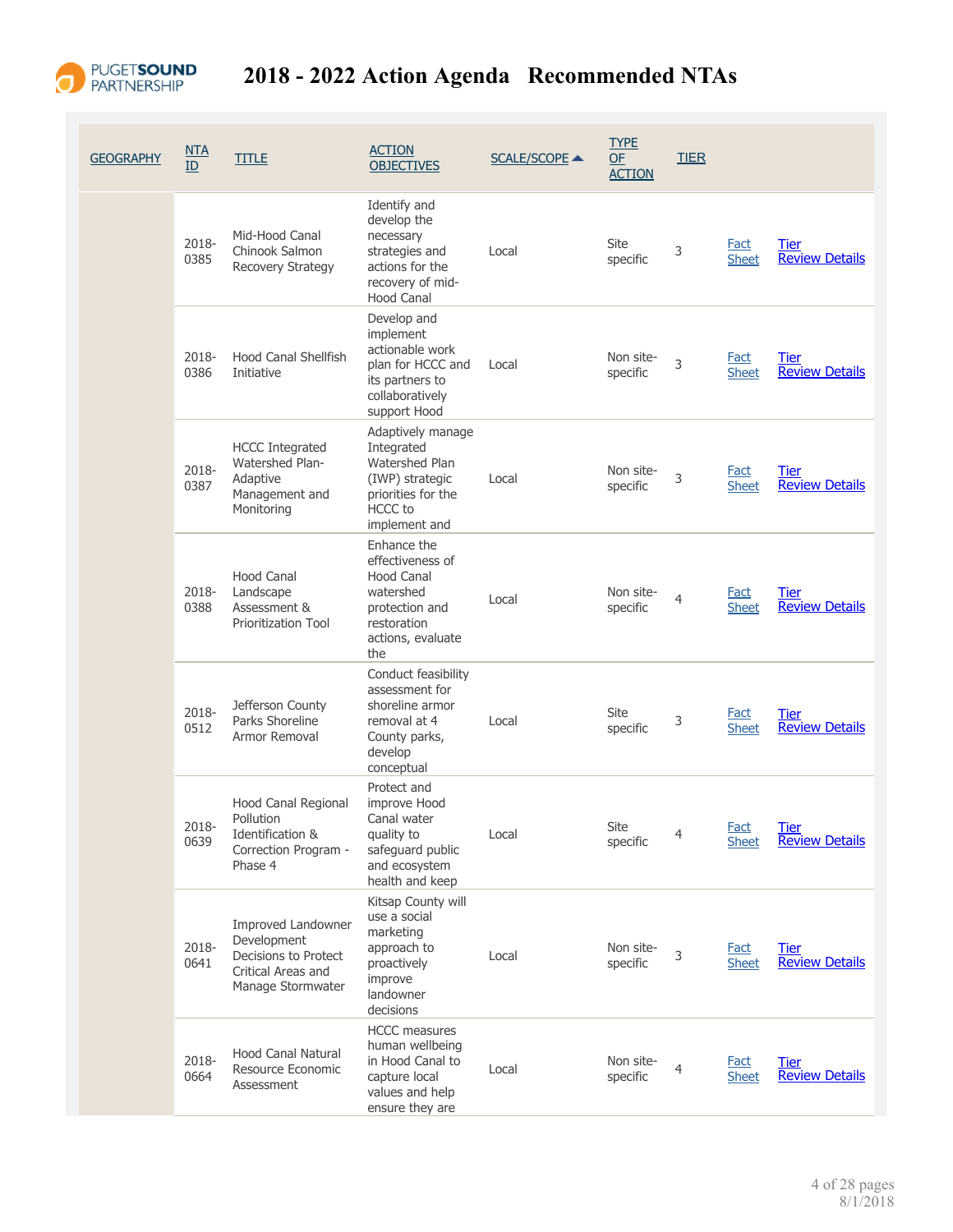

| <b>GEOGRAPHY</b> | NTA<br>ID     | <b>TITLE</b>                                                                                         | <b>ACTION</b><br><b>OBJECTIVES</b>                                                                                            | <b>SCALE/SCOPE ▲</b> | <b>TYPE</b><br>OF<br><b>ACTION</b> | <b>TIER</b>    |                             |                                      |
|------------------|---------------|------------------------------------------------------------------------------------------------------|-------------------------------------------------------------------------------------------------------------------------------|----------------------|------------------------------------|----------------|-----------------------------|--------------------------------------|
|                  | 2018-<br>0385 | Mid-Hood Canal<br>Chinook Salmon<br>Recovery Strategy                                                | Identify and<br>develop the<br>necessary<br>strategies and<br>actions for the<br>recovery of mid-<br><b>Hood Canal</b>        | Local                | Site<br>specific                   | 3              | <b>Fact</b><br><b>Sheet</b> | <b>Tier</b><br><b>Review Details</b> |
|                  | 2018-<br>0386 | Hood Canal Shellfish<br>Initiative                                                                   | Develop and<br>implement<br>actionable work<br>plan for HCCC and<br>its partners to<br>collaboratively<br>support Hood        | Local                | Non site-<br>specific              | 3              | <b>Fact</b><br><b>Sheet</b> | <b>Tier</b><br><b>Review Details</b> |
|                  | 2018-<br>0387 | <b>HCCC Integrated</b><br>Watershed Plan-<br>Adaptive<br>Management and<br>Monitoring                | Adaptively manage<br>Integrated<br>Watershed Plan<br>(IWP) strategic<br>priorities for the<br><b>HCCC</b> to<br>implement and | Local                | Non site-<br>specific              | 3              | <b>Fact</b><br><b>Sheet</b> | <b>Tier</b><br><b>Review Details</b> |
|                  | 2018-<br>0388 | Hood Canal<br>Landscape<br>Assessment &<br><b>Prioritization Tool</b>                                | Enhance the<br>effectiveness of<br>Hood Canal<br>watershed<br>protection and<br>restoration<br>actions, evaluate<br>the       | Local                | Non site-<br>specific              | $\overline{4}$ | <b>Fact</b><br><b>Sheet</b> | Tier<br><b>Review Details</b>        |
|                  | 2018-<br>0512 | Jefferson County<br>Parks Shoreline<br>Armor Removal                                                 | Conduct feasibility<br>assessment for<br>shoreline armor<br>removal at 4<br>County parks,<br>develop<br>conceptual            | Local                | Site<br>specific                   | 3              | Fact<br><b>Sheet</b>        | <b>Tier</b><br><b>Review Details</b> |
|                  | 2018-<br>0639 | Hood Canal Regional<br>Pollution<br>Identification &<br>Correction Program -<br>Phase 4              | Protect and<br>improve Hood<br>Canal water<br>quality to<br>safeguard public<br>and ecosystem<br>health and keep              | Local                | Site<br>specific                   | $\overline{4}$ | <b>Fact</b><br><b>Sheet</b> | <b>Tier</b><br><b>Review Details</b> |
|                  | 2018-<br>0641 | Improved Landowner<br>Development<br>Decisions to Protect<br>Critical Areas and<br>Manage Stormwater | Kitsap County will<br>use a social<br>marketing<br>approach to<br>proactively<br>improve<br>landowner<br>decisions            | Local                | Non site-<br>specific              | 3              | <u>Fact</u><br><b>Sheet</b> | <b>Tier</b><br><b>Review Details</b> |
|                  | 2018-<br>0664 | <b>Hood Canal Natural</b><br>Resource Economic<br>Assessment                                         | <b>HCCC</b> measures<br>human wellbeing<br>in Hood Canal to<br>capture local<br>values and help<br>ensure they are            | Local                | Non site-<br>specific              | 4              | <b>Fact</b><br><b>Sheet</b> | Tier<br><b>Review Details</b>        |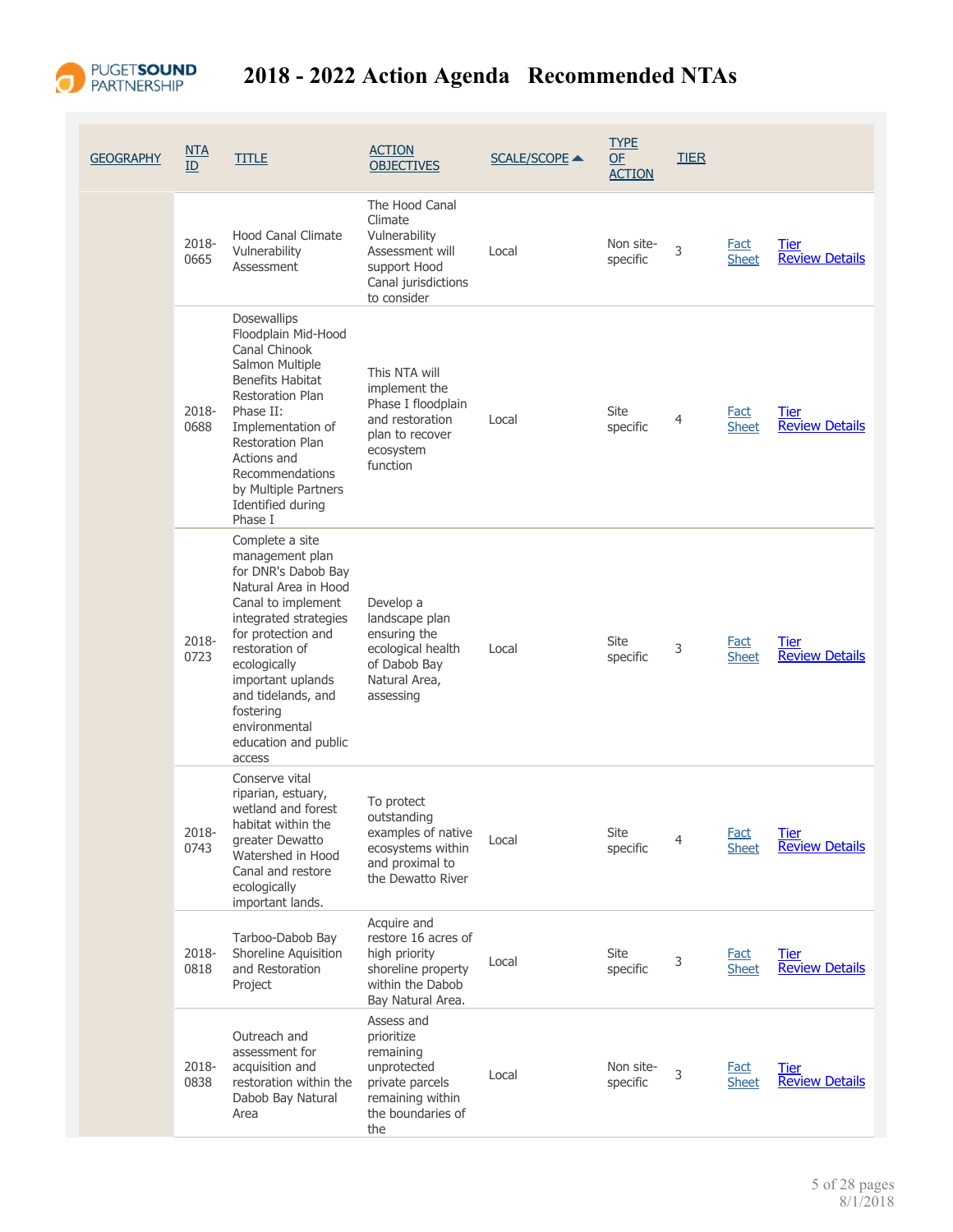

| <b>GEOGRAPHY</b> | <u>NTA</u><br>ID | <b>TITLE</b>                                                                                                                                                                                                                                                                                        | <b>ACTION</b><br><b>OBJECTIVES</b>                                                                                      | <b>SCALE/SCOPE ▲</b> | <b>TYPE</b><br>OF<br><b>ACTION</b> | <b>TIER</b> |                             |                                      |
|------------------|------------------|-----------------------------------------------------------------------------------------------------------------------------------------------------------------------------------------------------------------------------------------------------------------------------------------------------|-------------------------------------------------------------------------------------------------------------------------|----------------------|------------------------------------|-------------|-----------------------------|--------------------------------------|
|                  | 2018-<br>0665    | <b>Hood Canal Climate</b><br>Vulnerability<br>Assessment                                                                                                                                                                                                                                            | The Hood Canal<br>Climate<br>Vulnerability<br>Assessment will<br>support Hood<br>Canal jurisdictions<br>to consider     | Local                | Non site-<br>specific              | 3           | <b>Fact</b><br><b>Sheet</b> | <b>Tier</b><br><b>Review Details</b> |
|                  | 2018-<br>0688    | <b>Dosewallips</b><br>Floodplain Mid-Hood<br>Canal Chinook<br>Salmon Multiple<br><b>Benefits Habitat</b><br>Restoration Plan<br>Phase II:<br>Implementation of<br><b>Restoration Plan</b><br>Actions and<br>Recommendations<br>by Multiple Partners<br>Identified during<br>Phase I                 | This NTA will<br>implement the<br>Phase I floodplain<br>and restoration<br>plan to recover<br>ecosystem<br>function     | Local                | Site<br>specific                   | 4           | <b>Fact</b><br><b>Sheet</b> | Tier<br><b>Review Details</b>        |
|                  | 2018-<br>0723    | Complete a site<br>management plan<br>for DNR's Dabob Bay<br>Natural Area in Hood<br>Canal to implement<br>integrated strategies<br>for protection and<br>restoration of<br>ecologically<br>important uplands<br>and tidelands, and<br>fostering<br>environmental<br>education and public<br>access | Develop a<br>landscape plan<br>ensuring the<br>ecological health<br>of Dabob Bay<br>Natural Area,<br>assessing          | Local                | Site<br>specific                   | 3           | Fact<br><b>Sheet</b>        | Tier<br><b>Review Details</b>        |
|                  | 2018-<br>0743    | Conserve vital<br>riparian, estuary,<br>wetland and forest<br>habitat within the<br>greater Dewatto<br>Watershed in Hood<br>Canal and restore<br>ecologically<br>important lands.                                                                                                                   | To protect<br>outstanding<br>examples of native<br>ecosystems within<br>and proximal to<br>the Dewatto River            | Local                | Site<br>specific                   | 4           | <b>Fact</b><br><b>Sheet</b> | <b>Tier</b><br><b>Review Details</b> |
|                  | 2018-<br>0818    | Tarboo-Dabob Bay<br>Shoreline Aquisition<br>and Restoration<br>Project                                                                                                                                                                                                                              | Acquire and<br>restore 16 acres of<br>high priority<br>shoreline property<br>within the Dabob<br>Bay Natural Area.      | Local                | Site<br>specific                   | 3           | <b>Fact</b><br><b>Sheet</b> | <b>Tier</b><br><b>Review Details</b> |
|                  | 2018-<br>0838    | Outreach and<br>assessment for<br>acquisition and<br>restoration within the<br>Dabob Bay Natural<br>Area                                                                                                                                                                                            | Assess and<br>prioritize<br>remaining<br>unprotected<br>private parcels<br>remaining within<br>the boundaries of<br>the | Local                | Non site-<br>specific              | 3           | <b>Fact</b><br><b>Sheet</b> | Tier<br><b>Review Details</b>        |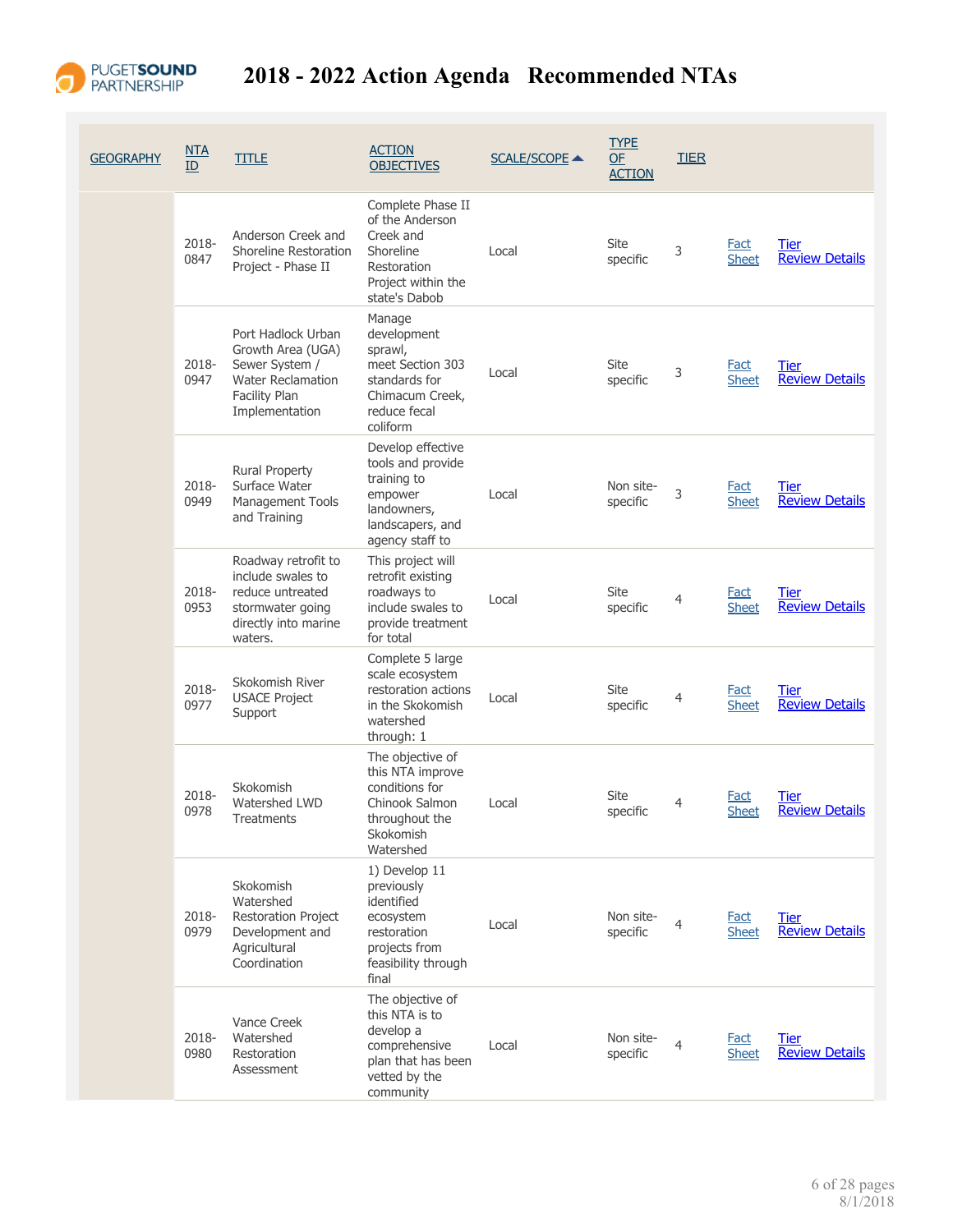

| <b>GEOGRAPHY</b> | NTA<br>ID     | <b>TITLE</b>                                                                                                             | <b>ACTION</b><br><b>OBJECTIVES</b>                                                                                     | <b>SCALE/SCOPE ▲</b> | <b>TYPE</b><br><b>OF</b><br><b>ACTION</b> | <b>TIER</b>    |                             |                                      |
|------------------|---------------|--------------------------------------------------------------------------------------------------------------------------|------------------------------------------------------------------------------------------------------------------------|----------------------|-------------------------------------------|----------------|-----------------------------|--------------------------------------|
|                  | 2018-<br>0847 | Anderson Creek and<br>Shoreline Restoration<br>Project - Phase II                                                        | Complete Phase II<br>of the Anderson<br>Creek and<br>Shoreline<br>Restoration<br>Project within the<br>state's Dabob   | Local                | Site<br>specific                          | 3              | <b>Fact</b><br><b>Sheet</b> | <b>Tier</b><br><b>Review Details</b> |
|                  | 2018-<br>0947 | Port Hadlock Urban<br>Growth Area (UGA)<br>Sewer System /<br><b>Water Reclamation</b><br>Facility Plan<br>Implementation | Manage<br>development<br>sprawl,<br>meet Section 303<br>standards for<br>Chimacum Creek,<br>reduce fecal<br>coliform   | Local                | Site<br>specific                          | 3              | <b>Fact</b><br><b>Sheet</b> | <b>Tier</b><br><b>Review Details</b> |
|                  | 2018-<br>0949 | <b>Rural Property</b><br>Surface Water<br>Management Tools<br>and Training                                               | Develop effective<br>tools and provide<br>training to<br>empower<br>landowners,<br>landscapers, and<br>agency staff to | Local                | Non site-<br>specific                     | 3              | Fact<br><b>Sheet</b>        | <b>Tier</b><br><b>Review Details</b> |
|                  | 2018-<br>0953 | Roadway retrofit to<br>include swales to<br>reduce untreated<br>stormwater going<br>directly into marine<br>waters.      | This project will<br>retrofit existing<br>roadways to<br>include swales to<br>provide treatment<br>for total           | Local                | Site<br>specific                          | $\overline{4}$ | <b>Fact</b><br><b>Sheet</b> | Tier<br><b>Review Details</b>        |
|                  | 2018-<br>0977 | Skokomish River<br><b>USACE Project</b><br>Support                                                                       | Complete 5 large<br>scale ecosystem<br>restoration actions<br>in the Skokomish<br>watershed<br>through: 1              | Local                | Site<br>specific                          | $\overline{4}$ | <b>Fact</b><br><b>Sheet</b> | Tier<br><b>Review Details</b>        |
|                  | 2018-<br>0978 | Skokomish<br><b>Watershed LWD</b><br>Treatments                                                                          | The objective of<br>this NTA improve<br>conditions for<br>Chinook Salmon<br>throughout the<br>Skokomish<br>Watershed   | Local                | Site<br>specific                          | 4              | <b>Fact</b><br>Sheet        | Tier<br><b>Review Details</b>        |
|                  | 2018-<br>0979 | Skokomish<br>Watershed<br>Restoration Project<br>Development and<br>Agricultural<br>Coordination                         | 1) Develop 11<br>previously<br>identified<br>ecosystem<br>restoration<br>projects from<br>feasibility through<br>final | Local                | Non site-<br>specific                     | 4              | <b>Fact</b><br><b>Sheet</b> | Tier<br><b>Review Details</b>        |
|                  | 2018-<br>0980 | Vance Creek<br>Watershed<br>Restoration<br>Assessment                                                                    | The objective of<br>this NTA is to<br>develop a<br>comprehensive<br>plan that has been<br>vetted by the<br>community   | Local                | Non site-<br>specific                     | 4              | <b>Fact</b><br><b>Sheet</b> | <b>Tier</b><br><b>Review Details</b> |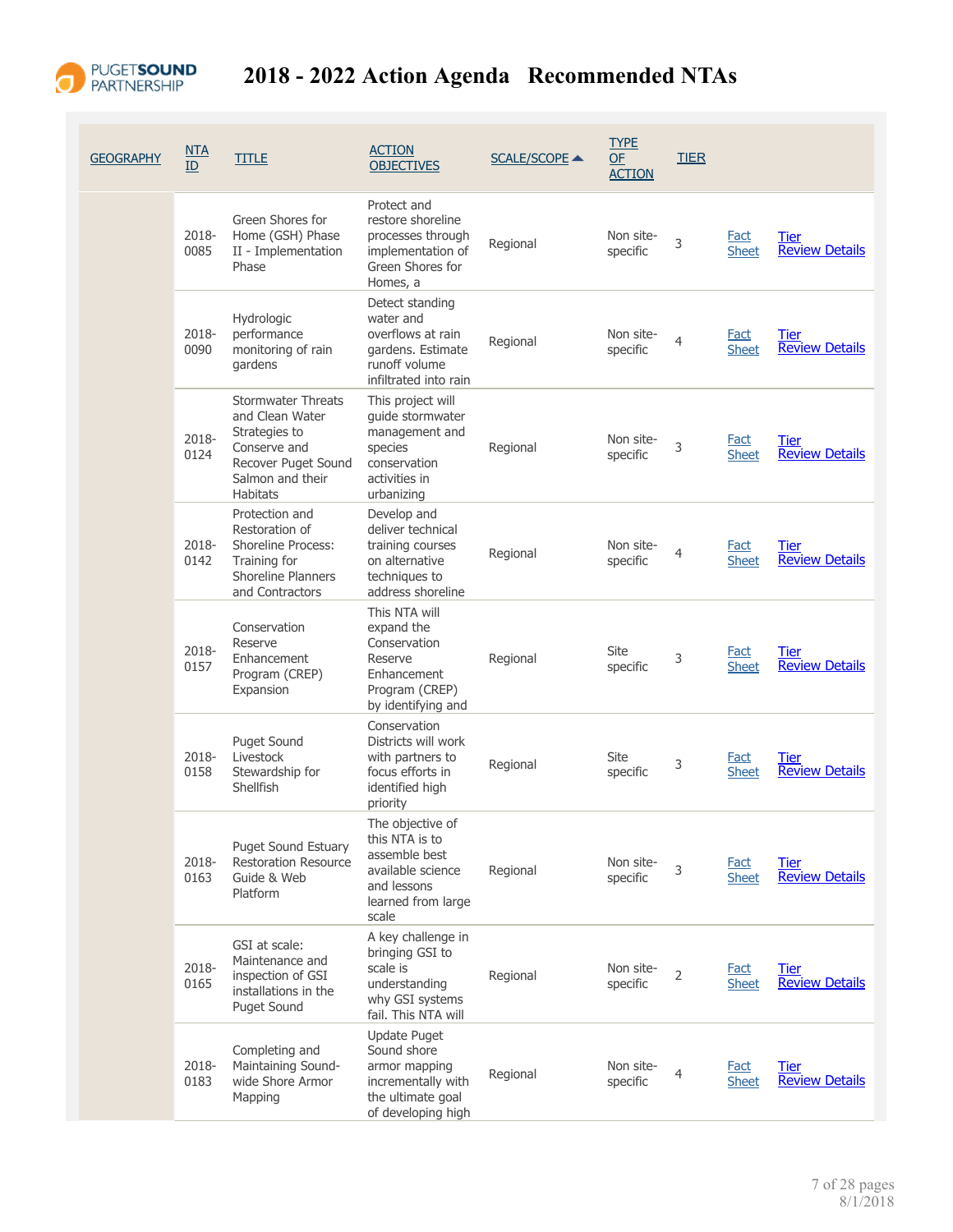

| <b>GEOGRAPHY</b> | NTA<br>ID     | <b>TITLE</b>                                                                                                                                | <b>ACTION</b><br><b>OBJECTIVES</b>                                                                                     | <b>SCALE/SCOPE ▲</b> | <b>TYPE</b><br><b>OF</b><br><b>ACTION</b> | <b>TIER</b> |                             |                                      |
|------------------|---------------|---------------------------------------------------------------------------------------------------------------------------------------------|------------------------------------------------------------------------------------------------------------------------|----------------------|-------------------------------------------|-------------|-----------------------------|--------------------------------------|
|                  | 2018-<br>0085 | Green Shores for<br>Home (GSH) Phase<br>II - Implementation<br>Phase                                                                        | Protect and<br>restore shoreline<br>processes through<br>implementation of<br>Green Shores for<br>Homes, a             | Regional             | Non site-<br>specific                     | 3           | <b>Fact</b><br><b>Sheet</b> | Tier<br><b>Review Details</b>        |
|                  | 2018-<br>0090 | Hydrologic<br>performance<br>monitoring of rain<br>gardens                                                                                  | Detect standing<br>water and<br>overflows at rain<br>gardens. Estimate<br>runoff volume<br>infiltrated into rain       | Regional             | Non site-<br>specific                     | 4           | Fact<br><b>Sheet</b>        | Tier<br><b>Review Details</b>        |
|                  | 2018-<br>0124 | <b>Stormwater Threats</b><br>and Clean Water<br>Strategies to<br>Conserve and<br>Recover Puget Sound<br>Salmon and their<br><b>Habitats</b> | This project will<br>quide stormwater<br>management and<br>species<br>conservation<br>activities in<br>urbanizing      | Regional             | Non site-<br>specific                     | 3           | <b>Fact</b><br><b>Sheet</b> | <b>Tier</b><br><b>Review Details</b> |
|                  | 2018-<br>0142 | Protection and<br>Restoration of<br><b>Shoreline Process:</b><br>Training for<br><b>Shoreline Planners</b><br>and Contractors               | Develop and<br>deliver technical<br>training courses<br>on alternative<br>techniques to<br>address shoreline           | Regional             | Non site-<br>specific                     | 4           | <b>Fact</b><br><b>Sheet</b> | Tier<br><b>Review Details</b>        |
|                  | 2018-<br>0157 | Conservation<br>Reserve<br>Enhancement<br>Program (CREP)<br>Expansion                                                                       | This NTA will<br>expand the<br>Conservation<br>Reserve<br>Enhancement<br>Program (CREP)<br>by identifying and          | Regional             | Site<br>specific                          | 3           | Fact<br><b>Sheet</b>        | Tier<br><b>Review Details</b>        |
|                  | 2018-<br>0158 | <b>Puget Sound</b><br>Livestock<br>Stewardship for<br>Shellfish                                                                             | Conservation<br>Districts will work<br>with partners to<br>focus efforts in<br>identified high<br>priority             | Regional             | Site<br>specific                          | 3           | Fact<br><b>Sheet</b>        | <b>Tier</b><br><b>Review Details</b> |
|                  | 2018-<br>0163 | Puget Sound Estuary<br><b>Restoration Resource</b><br>Guide & Web<br>Platform                                                               | The objective of<br>this NTA is to<br>assemble best<br>available science<br>and lessons<br>learned from large<br>scale | Regional             | Non site-<br>specific                     | 3           | <b>Fact</b><br><b>Sheet</b> | <b>Tier</b><br><b>Review Details</b> |
|                  | 2018-<br>0165 | GSI at scale:<br>Maintenance and<br>inspection of GSI<br>installations in the<br><b>Puget Sound</b>                                         | A key challenge in<br>bringing GSI to<br>scale is<br>understanding<br>why GSI systems<br>fail. This NTA will           | Regional             | Non site-<br>specific                     | 2           | <b>Fact</b><br><b>Sheet</b> | Tier<br><b>Review Details</b>        |
|                  | 2018-<br>0183 | Completing and<br>Maintaining Sound-<br>wide Shore Armor<br>Mapping                                                                         | <b>Update Puget</b><br>Sound shore<br>armor mapping<br>incrementally with<br>the ultimate goal<br>of developing high   | Regional             | Non site-<br>specific                     | 4           | <b>Fact</b><br><b>Sheet</b> | <b>Tier</b><br><b>Review Details</b> |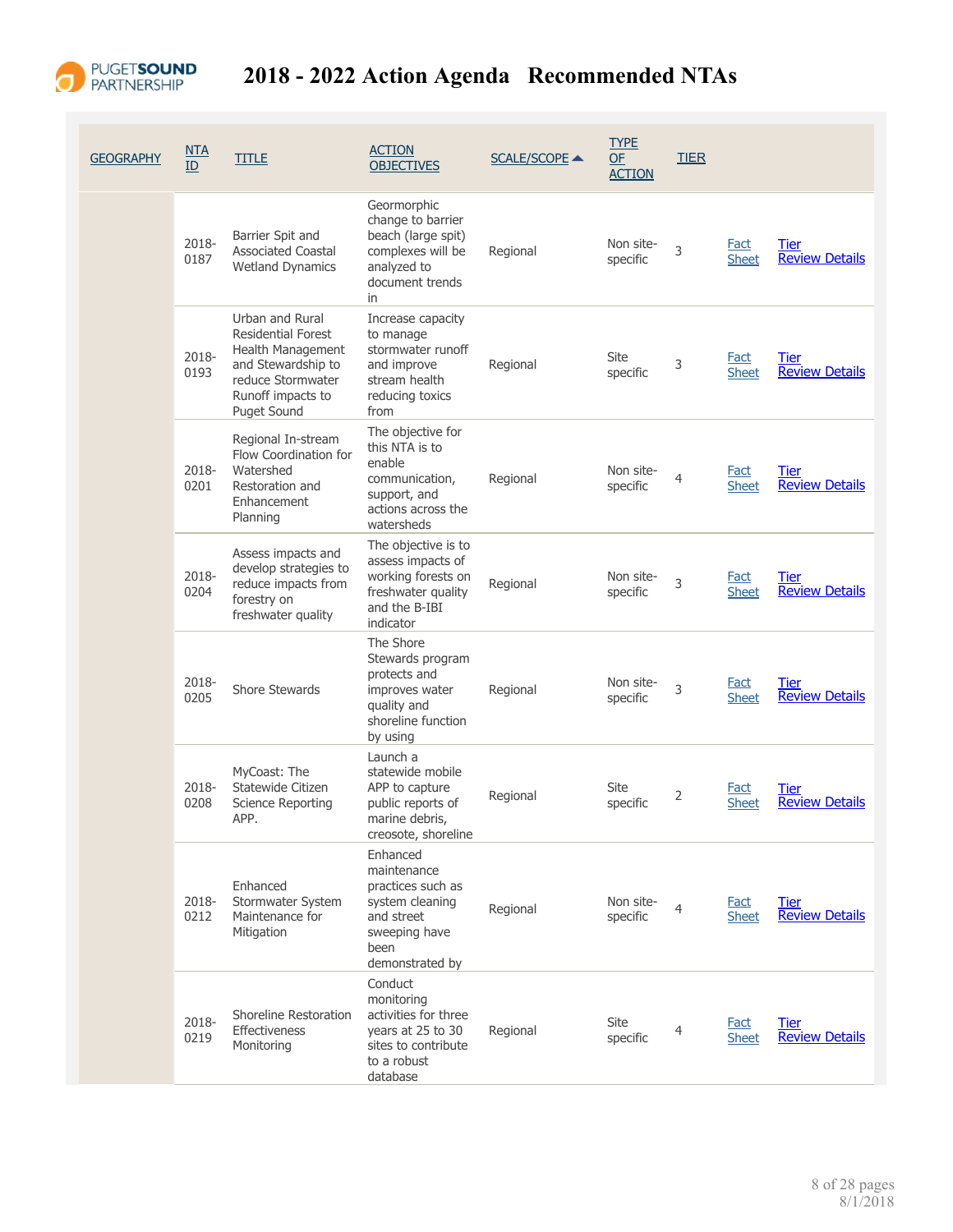

| <b>GEOGRAPHY</b> | NTA<br>ID     | <b>TITLE</b>                                                                                                                                            | <b>ACTION</b><br><b>OBJECTIVES</b>                                                                                        | <b>SCALE/SCOPE ▲</b> | <b>TYPE</b><br><b>OF</b><br><b>ACTION</b> | <b>TIER</b>    |                             |                                      |
|------------------|---------------|---------------------------------------------------------------------------------------------------------------------------------------------------------|---------------------------------------------------------------------------------------------------------------------------|----------------------|-------------------------------------------|----------------|-----------------------------|--------------------------------------|
|                  | 2018-<br>0187 | Barrier Spit and<br><b>Associated Coastal</b><br><b>Wetland Dynamics</b>                                                                                | Geormorphic<br>change to barrier<br>beach (large spit)<br>complexes will be<br>analyzed to<br>document trends<br>in       | Regional             | Non site-<br>specific                     | 3              | <b>Fact</b><br><b>Sheet</b> | <b>Tier</b><br><b>Review Details</b> |
|                  | 2018-<br>0193 | Urban and Rural<br><b>Residential Forest</b><br>Health Management<br>and Stewardship to<br>reduce Stormwater<br>Runoff impacts to<br><b>Puget Sound</b> | Increase capacity<br>to manage<br>stormwater runoff<br>and improve<br>stream health<br>reducing toxics<br>from            | Regional             | Site<br>specific                          | 3              | <b>Fact</b><br><b>Sheet</b> | <u>Tier</u><br><b>Review Details</b> |
|                  | 2018-<br>0201 | Regional In-stream<br>Flow Coordination for<br>Watershed<br>Restoration and<br>Enhancement<br>Planning                                                  | The objective for<br>this NTA is to<br>enable<br>communication,<br>support, and<br>actions across the<br>watersheds       | Regional             | Non site-<br>specific                     | 4              | <b>Fact</b><br><b>Sheet</b> | Tier<br><b>Review Details</b>        |
|                  | 2018-<br>0204 | Assess impacts and<br>develop strategies to<br>reduce impacts from<br>forestry on<br>freshwater quality                                                 | The objective is to<br>assess impacts of<br>working forests on<br>freshwater quality<br>and the B-IBI<br>indicator        | Regional             | Non site-<br>specific                     | 3              | <b>Fact</b><br><b>Sheet</b> | Tier<br><b>Review Details</b>        |
|                  | 2018-<br>0205 | Shore Stewards                                                                                                                                          | The Shore<br>Stewards program<br>protects and<br>improves water<br>quality and<br>shoreline function<br>by using          | Regional             | Non site-<br>specific                     | 3              | <b>Fact</b><br><b>Sheet</b> | Tier<br><b>Review Details</b>        |
|                  | 2018-<br>0208 | MyCoast: The<br>Statewide Citizen<br><b>Science Reporting</b><br>APP.                                                                                   | Launch a<br>statewide mobile<br>APP to capture<br>public reports of<br>marine debris,<br>creosote, shoreline              | Regional             | Site<br>specific                          | 2              | <b>Fact</b><br><b>Sheet</b> | <b>Tier</b><br><b>Review Details</b> |
|                  | 2018-<br>0212 | Enhanced<br>Stormwater System<br>Maintenance for<br>Mitigation                                                                                          | Enhanced<br>maintenance<br>practices such as<br>system cleaning<br>and street<br>sweeping have<br>been<br>demonstrated by | Regional             | Non site-<br>specific                     | $\overline{4}$ | <b>Fact</b><br><b>Sheet</b> | Tier<br><b>Review Details</b>        |
|                  | 2018-<br>0219 | Shoreline Restoration<br>Effectiveness<br>Monitoring                                                                                                    | Conduct<br>monitoring<br>activities for three<br>years at 25 to 30<br>sites to contribute<br>to a robust<br>database      | Regional             | Site<br>specific                          | 4              | <b>Fact</b><br><b>Sheet</b> | <b>Tier</b><br><b>Review Details</b> |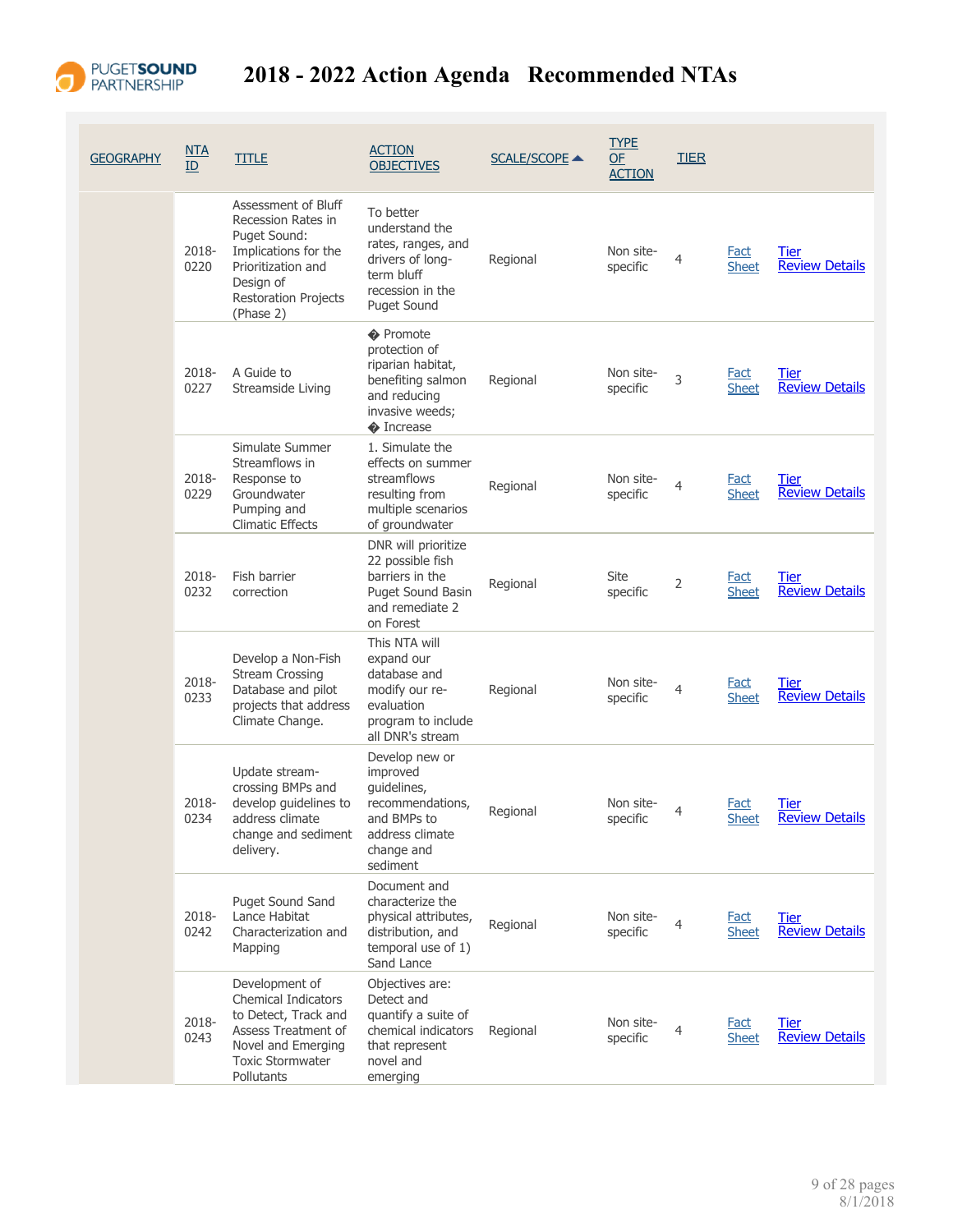

| <b>GEOGRAPHY</b> | <u>NTA</u><br>ID | <b>TITLE</b>                                                                                                                                               | <b>ACTION</b><br><b>OBJECTIVES</b>                                                                                            | <b>SCALE/SCOPE ▲</b> | <b>TYPE</b><br>OF<br><b>ACTION</b> | <b>TIER</b> |                             |                                      |
|------------------|------------------|------------------------------------------------------------------------------------------------------------------------------------------------------------|-------------------------------------------------------------------------------------------------------------------------------|----------------------|------------------------------------|-------------|-----------------------------|--------------------------------------|
|                  | 2018-<br>0220    | Assessment of Bluff<br>Recession Rates in<br>Puget Sound:<br>Implications for the<br>Prioritization and<br>Design of<br>Restoration Projects<br>(Phase 2)  | To better<br>understand the<br>rates, ranges, and<br>drivers of long-<br>term bluff<br>recession in the<br><b>Puget Sound</b> | Regional             | Non site-<br>specific              | 4           | <b>Fact</b><br><b>Sheet</b> | Tier<br><b>Review Details</b>        |
|                  | 2018-<br>0227    | A Guide to<br>Streamside Living                                                                                                                            | ♦ Promote<br>protection of<br>riparian habitat,<br>benefiting salmon<br>and reducing<br>invasive weeds;<br>♦ Increase         | Regional             | Non site-<br>specific              | 3           | <b>Fact</b><br><b>Sheet</b> | Tier<br><b>Review Details</b>        |
|                  | 2018-<br>0229    | Simulate Summer<br>Streamflows in<br>Response to<br>Groundwater<br>Pumping and<br><b>Climatic Effects</b>                                                  | 1. Simulate the<br>effects on summer<br>streamflows<br>resulting from<br>multiple scenarios<br>of groundwater                 | Regional             | Non site-<br>specific              | 4           | Fact<br><b>Sheet</b>        | Tier<br><b>Review Details</b>        |
|                  | 2018-<br>0232    | Fish barrier<br>correction                                                                                                                                 | DNR will prioritize<br>22 possible fish<br>barriers in the<br><b>Puget Sound Basin</b><br>and remediate 2<br>on Forest        | Regional             | Site<br>specific                   | 2           | Fact<br><b>Sheet</b>        | Tier<br><b>Review Details</b>        |
|                  | 2018-<br>0233    | Develop a Non-Fish<br><b>Stream Crossing</b><br>Database and pilot<br>projects that address<br>Climate Change.                                             | This NTA will<br>expand our<br>database and<br>modify our re-<br>evaluation<br>program to include<br>all DNR's stream         | Regional             | Non site-<br>specific              | 4           | Fact<br><b>Sheet</b>        | <u>Tier</u><br><b>Review Details</b> |
|                  | 2018-<br>0234    | Update stream-<br>crossing BMPs and<br>develop guidelines to<br>address climate<br>change and sediment<br>delivery.                                        | Develop new or<br>improved<br>guidelines,<br>recommendations,<br>and BMPs to<br>address climate<br>change and<br>sediment     | Regional             | Non site-<br>specific              | 4           | Fact<br><b>Sheet</b>        | <u>Tier</u><br><b>Review Details</b> |
|                  | 2018-<br>0242    | Puget Sound Sand<br>Lance Habitat<br>Characterization and<br>Mapping                                                                                       | Document and<br>characterize the<br>physical attributes,<br>distribution, and<br>temporal use of 1)<br>Sand Lance             | Regional             | Non site-<br>specific              | 4           | <b>Fact</b><br><b>Sheet</b> | Tier<br><b>Review Details</b>        |
|                  | 2018-<br>0243    | Development of<br><b>Chemical Indicators</b><br>to Detect, Track and<br>Assess Treatment of<br>Novel and Emerging<br><b>Toxic Stormwater</b><br>Pollutants | Objectives are:<br>Detect and<br>quantify a suite of<br>chemical indicators<br>that represent<br>novel and<br>emerging        | Regional             | Non site-<br>specific              | 4           | <b>Fact</b><br><b>Sheet</b> | Tier<br><b>Review Details</b>        |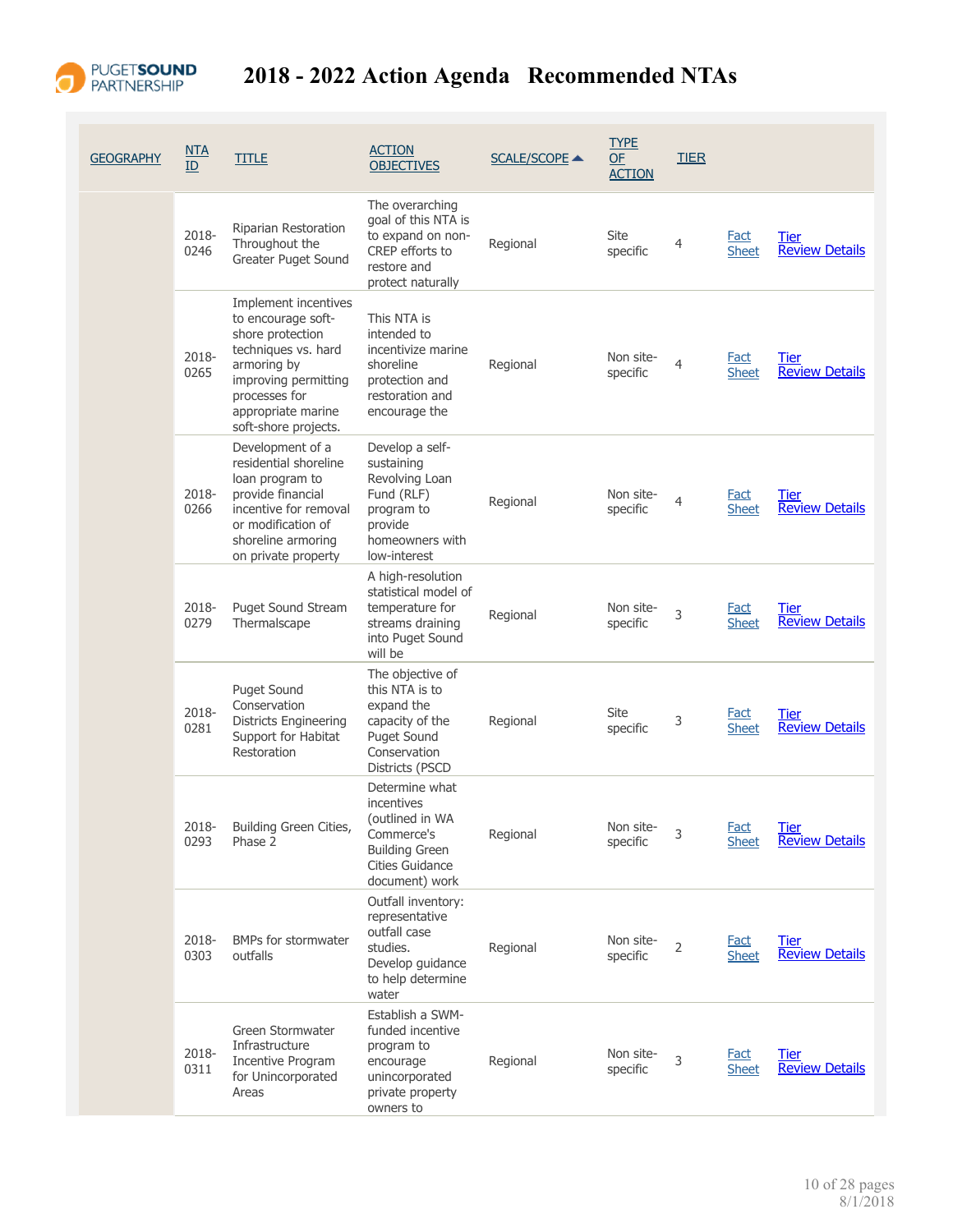

| <b>GEOGRAPHY</b> | <u>NTA</u><br>ID | <b>TITLE</b>                                                                                                                                                                                | <b>ACTION</b><br><b>OBJECTIVES</b>                                                                                           | <b>SCALE/SCOPE ▲</b> | <b>TYPE</b><br>OF<br><b>ACTION</b> | <b>TIER</b>    |                             |                                      |
|------------------|------------------|---------------------------------------------------------------------------------------------------------------------------------------------------------------------------------------------|------------------------------------------------------------------------------------------------------------------------------|----------------------|------------------------------------|----------------|-----------------------------|--------------------------------------|
|                  | 2018-<br>0246    | Riparian Restoration<br>Throughout the<br>Greater Puget Sound                                                                                                                               | The overarching<br>goal of this NTA is<br>to expand on non-<br>CREP efforts to<br>restore and<br>protect naturally           | Regional             | <b>Site</b><br>specific            | $\overline{4}$ | Fact<br><b>Sheet</b>        | <b>Tier</b><br><b>Review Details</b> |
|                  | 2018-<br>0265    | Implement incentives<br>to encourage soft-<br>shore protection<br>techniques vs. hard<br>armoring by<br>improving permitting<br>processes for<br>appropriate marine<br>soft-shore projects. | This NTA is<br>intended to<br>incentivize marine<br>shoreline<br>protection and<br>restoration and<br>encourage the          | Regional             | Non site-<br>specific              | 4              | Fact<br><b>Sheet</b>        | Tier<br><b>Review Details</b>        |
|                  | 2018-<br>0266    | Development of a<br>residential shoreline<br>loan program to<br>provide financial<br>incentive for removal<br>or modification of<br>shoreline armoring<br>on private property               | Develop a self-<br>sustaining<br>Revolving Loan<br>Fund (RLF)<br>program to<br>provide<br>homeowners with<br>low-interest    | Regional             | Non site-<br>specific              | 4              | <b>Fact</b><br><b>Sheet</b> | Tier<br><b>Review Details</b>        |
|                  | 2018-<br>0279    | Puget Sound Stream<br>Thermalscape                                                                                                                                                          | A high-resolution<br>statistical model of<br>temperature for<br>streams draining<br>into Puget Sound<br>will be              | Regional             | Non site-<br>specific              | 3              | <b>Fact</b><br><b>Sheet</b> | Tier<br><b>Review Details</b>        |
|                  | 2018-<br>0281    | <b>Puget Sound</b><br>Conservation<br><b>Districts Engineering</b><br>Support for Habitat<br>Restoration                                                                                    | The objective of<br>this NTA is to<br>expand the<br>capacity of the<br><b>Puget Sound</b><br>Conservation<br>Districts (PSCD | Regional             | Site<br>specific                   | 3              | Fact<br><b>Sheet</b>        | Tier<br><b>Review Details</b>        |
|                  | 2018-<br>0293    | Building Green Cities,<br>Phase 2                                                                                                                                                           | Determine what<br>incentives<br>(outlined in WA<br>Commerce's<br><b>Building Green</b><br>Cities Guidance<br>document) work  | Regional             | Non site-<br>specific              | 3              | <b>Fact</b><br><b>Sheet</b> | <b>Tier</b><br><b>Review Details</b> |
|                  | 2018-<br>0303    | BMPs for stormwater<br>outfalls                                                                                                                                                             | Outfall inventory:<br>representative<br>outfall case<br>studies.<br>Develop guidance<br>to help determine<br>water           | Regional             | Non site-<br>specific              | $\overline{2}$ | <b>Fact</b><br><b>Sheet</b> | <b>Tier</b><br><b>Review Details</b> |
|                  | 2018-<br>0311    | Green Stormwater<br>Infrastructure<br>Incentive Program<br>for Unincorporated<br>Areas                                                                                                      | Establish a SWM-<br>funded incentive<br>program to<br>encourage<br>unincorporated<br>private property<br>owners to           | Regional             | Non site-<br>specific              | 3              | <b>Fact</b><br><b>Sheet</b> | <b>Tier</b><br><b>Review Details</b> |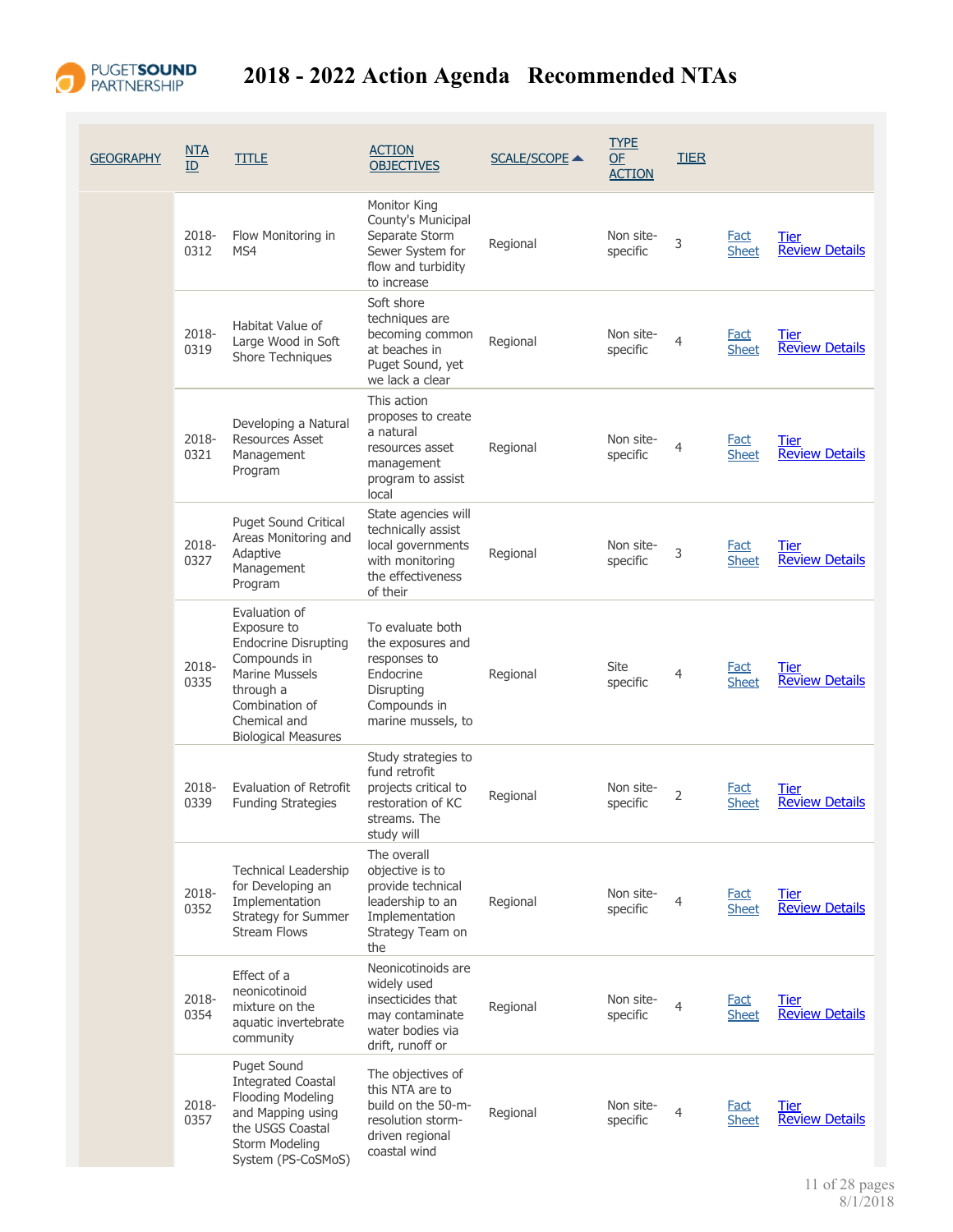

| <b>GEOGRAPHY</b> | NTA<br>ID     | <b>TITLE</b>                                                                                                                                                                      | <b>ACTION</b><br><b>OBJECTIVES</b>                                                                                     | <b>SCALE/SCOPE ▲</b> | <b>TYPE</b><br><b>OF</b><br><b>ACTION</b> | <b>TIER</b>    |                             |                                      |
|------------------|---------------|-----------------------------------------------------------------------------------------------------------------------------------------------------------------------------------|------------------------------------------------------------------------------------------------------------------------|----------------------|-------------------------------------------|----------------|-----------------------------|--------------------------------------|
|                  | 2018-<br>0312 | Flow Monitoring in<br>MS4                                                                                                                                                         | Monitor King<br>County's Municipal<br>Separate Storm<br>Sewer System for<br>flow and turbidity<br>to increase          | Regional             | Non site-<br>specific                     | 3              | Fact<br><b>Sheet</b>        | <b>Tier</b><br><b>Review Details</b> |
|                  | 2018-<br>0319 | Habitat Value of<br>Large Wood in Soft<br>Shore Techniques                                                                                                                        | Soft shore<br>techniques are<br>becoming common<br>at beaches in<br>Puget Sound, yet<br>we lack a clear                | Regional             | Non site-<br>specific                     | 4              | Fact<br><b>Sheet</b>        | Tier<br><b>Review Details</b>        |
|                  | 2018-<br>0321 | Developing a Natural<br><b>Resources Asset</b><br>Management<br>Program                                                                                                           | This action<br>proposes to create<br>a natural<br>resources asset<br>management<br>program to assist<br>local          | Regional             | Non site-<br>specific                     | 4              | <b>Fact</b><br><b>Sheet</b> | Tier<br><b>Review Details</b>        |
|                  | 2018-<br>0327 | <b>Puget Sound Critical</b><br>Areas Monitoring and<br>Adaptive<br>Management<br>Program                                                                                          | State agencies will<br>technically assist<br>local governments<br>with monitoring<br>the effectiveness<br>of their     | Regional             | Non site-<br>specific                     | 3              | <b>Fact</b><br><b>Sheet</b> | <b>Tier</b><br><b>Review Details</b> |
|                  | 2018-<br>0335 | Evaluation of<br>Exposure to<br><b>Endocrine Disrupting</b><br>Compounds in<br><b>Marine Mussels</b><br>through a<br>Combination of<br>Chemical and<br><b>Biological Measures</b> | To evaluate both<br>the exposures and<br>responses to<br>Endocrine<br>Disrupting<br>Compounds in<br>marine mussels, to | Regional             | Site<br>specific                          | $\overline{4}$ | <b>Fact</b><br><b>Sheet</b> | Tier<br><b>Review Details</b>        |
|                  | 2018-<br>0339 | Evaluation of Retrofit<br><b>Funding Strategies</b>                                                                                                                               | Study strategies to<br>fund retrofit<br>projects critical to<br>restoration of KC<br>streams. The<br>study will        | Regional             | Non site-<br>specific                     | 2              | <b>Fact</b><br><b>Sheet</b> | Tier<br><b>Review Details</b>        |
|                  | 2018-<br>0352 | <b>Technical Leadership</b><br>for Developing an<br>Implementation<br>Strategy for Summer<br><b>Stream Flows</b>                                                                  | The overall<br>objective is to<br>provide technical<br>leadership to an<br>Implementation<br>Strategy Team on<br>the   | Regional             | Non site-<br>specific                     | 4              | <b>Fact</b><br><b>Sheet</b> | <b>Tier</b><br><b>Review Details</b> |
|                  | 2018-<br>0354 | Effect of a<br>neonicotinoid<br>mixture on the<br>aquatic invertebrate<br>community                                                                                               | Neonicotinoids are<br>widely used<br>insecticides that<br>may contaminate<br>water bodies via<br>drift, runoff or      | Regional             | Non site-<br>specific                     | 4              | <b>Fact</b><br><b>Sheet</b> | <b>Tier</b><br><b>Review Details</b> |
|                  | 2018-<br>0357 | Puget Sound<br><b>Integrated Coastal</b><br>Flooding Modeling<br>and Mapping using<br>the USGS Coastal<br>Storm Modeling<br>System (PS-CoSMoS)                                    | The objectives of<br>this NTA are to<br>build on the 50-m-<br>resolution storm-<br>driven regional<br>coastal wind     | Regional             | Non site-<br>specific                     | $\overline{4}$ | <b>Fact</b><br><b>Sheet</b> | <b>Tier</b><br><b>Review Details</b> |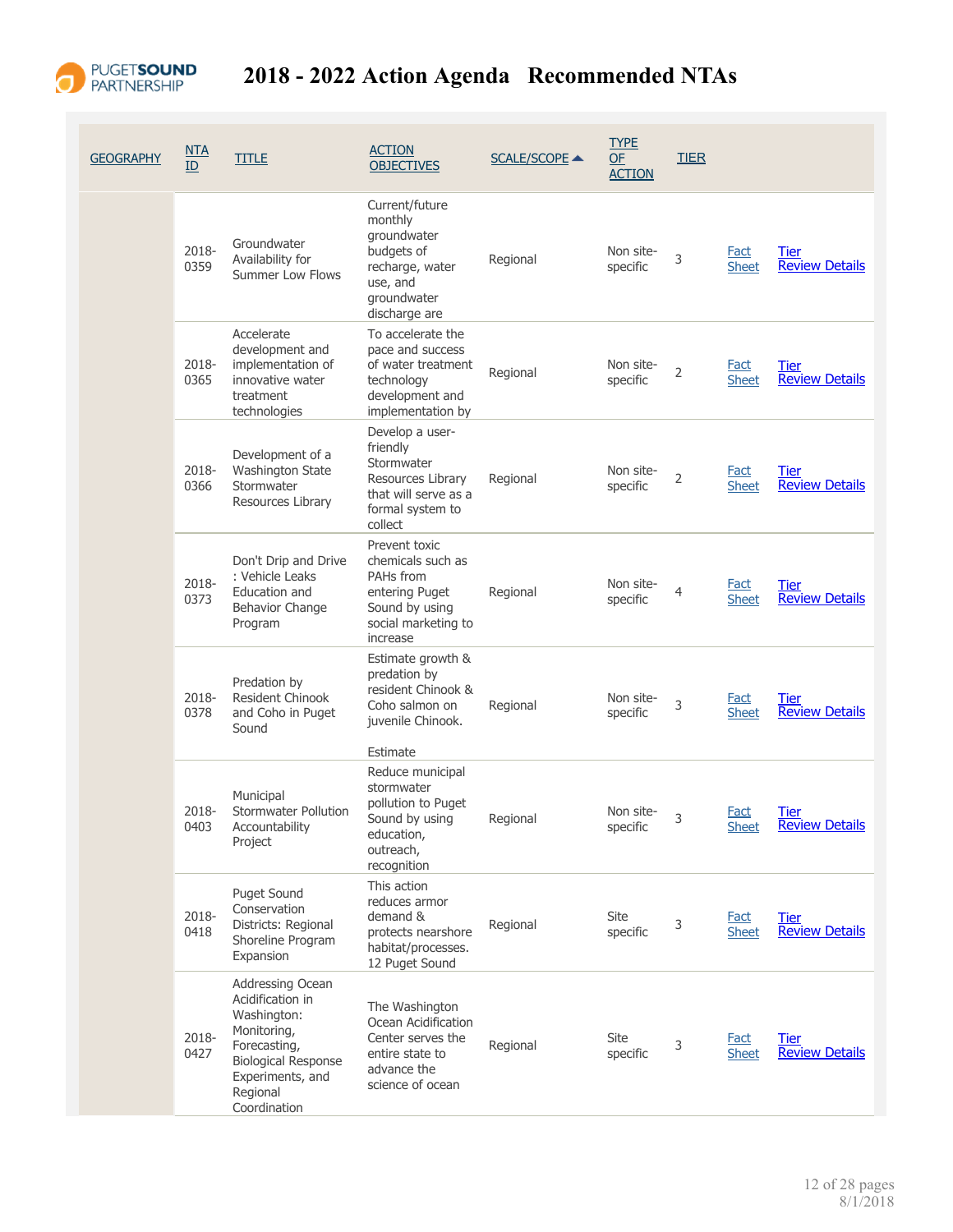

| GEOGRAPHY | NTA<br>ID     | <b>TITLE</b>                                                                                                                                                     | <b>ACTION</b><br><b>OBJECTIVES</b>                                                                                     | <b>SCALE/SCOPE ▲</b> | <b>TYPE</b><br><b>OF</b><br><b>ACTION</b> | <b>TIER</b>    |                             |                                      |
|-----------|---------------|------------------------------------------------------------------------------------------------------------------------------------------------------------------|------------------------------------------------------------------------------------------------------------------------|----------------------|-------------------------------------------|----------------|-----------------------------|--------------------------------------|
|           | 2018-<br>0359 | Groundwater<br>Availability for<br>Summer Low Flows                                                                                                              | Current/future<br>monthly<br>groundwater<br>budgets of<br>recharge, water<br>use, and<br>groundwater<br>discharge are  | Regional             | Non site-<br>specific                     | 3              | <u>Fact</u><br><b>Sheet</b> | <u>Tier</u><br><b>Review Details</b> |
|           | 2018-<br>0365 | Accelerate<br>development and<br>implementation of<br>innovative water<br>treatment<br>technologies                                                              | To accelerate the<br>pace and success<br>of water treatment<br>technology<br>development and<br>implementation by      | Regional             | Non site-<br>specific                     | $\overline{2}$ | <b>Fact</b><br><b>Sheet</b> | Tier<br><b>Review Details</b>        |
|           | 2018-<br>0366 | Development of a<br><b>Washington State</b><br>Stormwater<br>Resources Library                                                                                   | Develop a user-<br>friendly<br>Stormwater<br>Resources Library<br>that will serve as a<br>formal system to<br>collect  | Regional             | Non site-<br>specific                     | $\overline{2}$ | <b>Fact</b><br><b>Sheet</b> | <b>Tier</b><br><b>Review Details</b> |
|           | 2018-<br>0373 | Don't Drip and Drive<br>: Vehicle Leaks<br>Education and<br>Behavior Change<br>Program                                                                           | Prevent toxic<br>chemicals such as<br>PAHs from<br>entering Puget<br>Sound by using<br>social marketing to<br>increase | Regional             | Non site-<br>specific                     | 4              | Fact<br><b>Sheet</b>        | Tier<br><b>Review Details</b>        |
|           | 2018-<br>0378 | Predation by<br>Resident Chinook<br>and Coho in Puget<br>Sound                                                                                                   | Estimate growth &<br>predation by<br>resident Chinook &<br>Coho salmon on<br>juvenile Chinook.<br>Estimate             | Regional             | Non site-<br>specific                     | 3              | <b>Fact</b><br><b>Sheet</b> | Tier<br><b>Review Details</b>        |
|           | 2018-<br>0403 | Municipal<br>Stormwater Pollution<br>Accountability<br>Project                                                                                                   | Reduce municipal<br>stormwater<br>pollution to Puget<br>Sound by using<br>education,<br>outreach,<br>recognition       | Regional             | Non site-<br>specific                     |                | Fact<br><b>Sheet</b>        | <b>Tier</b><br><b>Review Details</b> |
|           | 2018-<br>0418 | Puget Sound<br>Conservation<br>Districts: Regional<br>Shoreline Program<br>Expansion                                                                             | This action<br>reduces armor<br>demand &<br>protects nearshore<br>habitat/processes.<br>12 Puget Sound                 | Regional             | <b>Site</b><br>specific                   | 3              | <b>Fact</b><br><b>Sheet</b> | <b>Tier</b><br><b>Review Details</b> |
|           | 2018-<br>0427 | Addressing Ocean<br>Acidification in<br>Washington:<br>Monitoring,<br>Forecasting,<br><b>Biological Response</b><br>Experiments, and<br>Regional<br>Coordination | The Washington<br>Ocean Acidification<br>Center serves the<br>entire state to<br>advance the<br>science of ocean       | Regional             | Site<br>specific                          | 3              | <b>Fact</b><br><b>Sheet</b> | Tier<br><b>Review Details</b>        |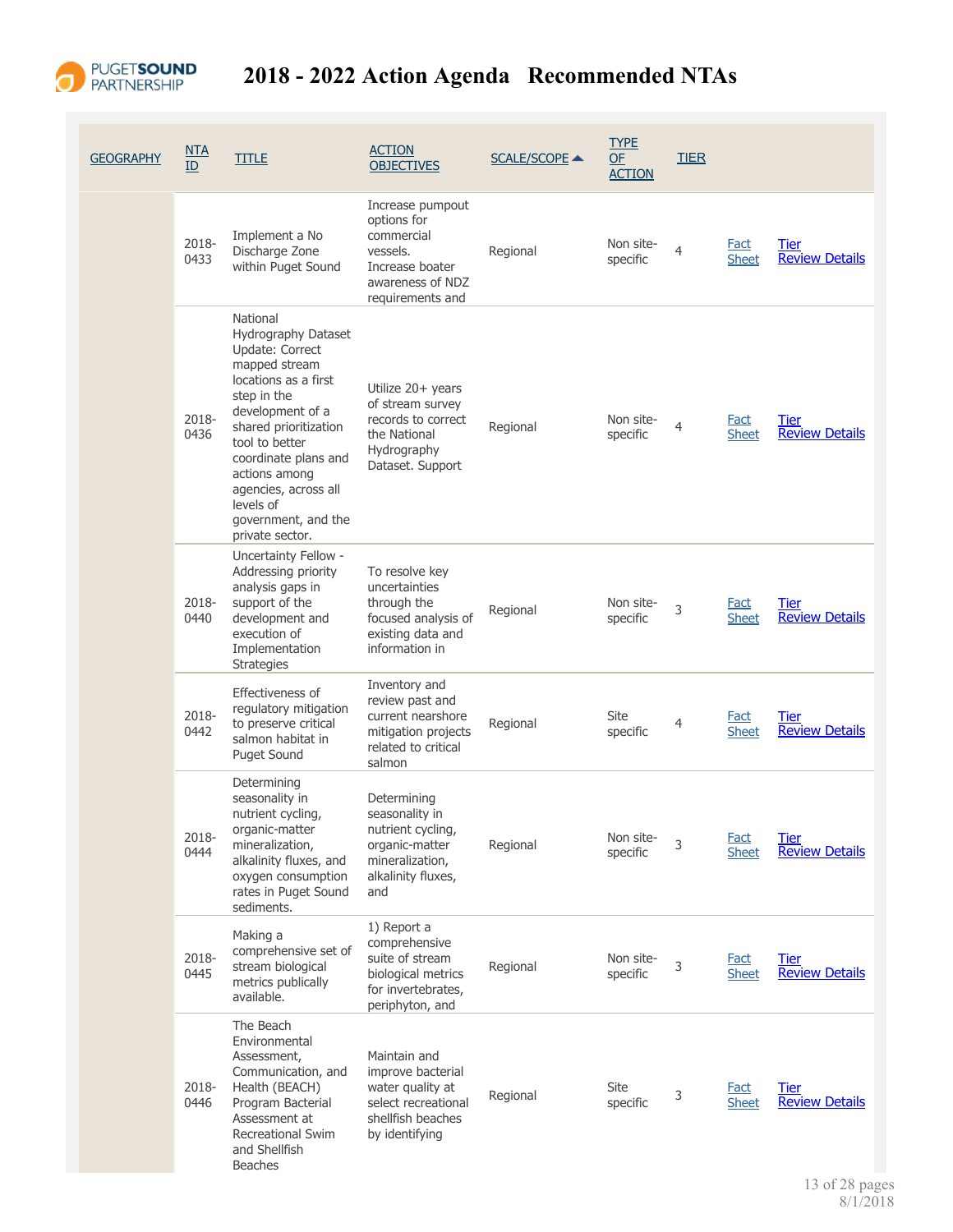

| <b>GEOGRAPHY</b> | $NTA$<br>ID   | <b>TITLE</b>                                                                                                                                                                                                                                                                                      | <b>ACTION</b><br><b>OBJECTIVES</b>                                                                                   | <b>SCALE/SCOPE ▲</b> | <b>TYPE</b><br>$OF$<br><b>ACTION</b> | <b>TIER</b> |                             |                                      |
|------------------|---------------|---------------------------------------------------------------------------------------------------------------------------------------------------------------------------------------------------------------------------------------------------------------------------------------------------|----------------------------------------------------------------------------------------------------------------------|----------------------|--------------------------------------|-------------|-----------------------------|--------------------------------------|
|                  | 2018-<br>0433 | Implement a No<br>Discharge Zone<br>within Puget Sound                                                                                                                                                                                                                                            | Increase pumpout<br>options for<br>commercial<br>vessels.<br>Increase boater<br>awareness of NDZ<br>requirements and | Regional             | Non site-<br>specific                | 4           | <b>Fact</b><br><b>Sheet</b> | Tier<br><b>Review Details</b>        |
|                  | 2018-<br>0436 | National<br>Hydrography Dataset<br>Update: Correct<br>mapped stream<br>locations as a first<br>step in the<br>development of a<br>shared prioritization<br>tool to better<br>coordinate plans and<br>actions among<br>agencies, across all<br>levels of<br>government, and the<br>private sector. | Utilize 20+ years<br>of stream survey<br>records to correct<br>the National<br>Hydrography<br>Dataset. Support       | Regional             | Non site-<br>specific                | 4           | <b>Fact</b><br><b>Sheet</b> | <b>Tier</b><br><b>Review Details</b> |
|                  | 2018-<br>0440 | Uncertainty Fellow -<br>Addressing priority<br>analysis gaps in<br>support of the<br>development and<br>execution of<br>Implementation<br><b>Strategies</b>                                                                                                                                       | To resolve key<br>uncertainties<br>through the<br>focused analysis of<br>existing data and<br>information in         | Regional             | Non site-<br>specific                | 3           | <b>Fact</b><br><b>Sheet</b> | Tier<br><b>Review Details</b>        |
|                  | 2018-<br>0442 | Effectiveness of<br>regulatory mitigation<br>to preserve critical<br>salmon habitat in<br><b>Puget Sound</b>                                                                                                                                                                                      | Inventory and<br>review past and<br>current nearshore<br>mitigation projects<br>related to critical<br>salmon        | Regional             | Site<br>specific                     | 4           | Fact<br><b>Sheet</b>        | Tier<br><b>Review Details</b>        |
|                  | 2018-<br>0444 | Determining<br>seasonality in<br>nutrient cycling,<br>organic-matter<br>mineralization,<br>alkalinity fluxes, and<br>oxygen consumption<br>rates in Puget Sound<br>sediments.                                                                                                                     | Determining<br>seasonality in<br>nutrient cycling,<br>organic-matter<br>mineralization,<br>alkalinity fluxes,<br>and | Regional             | Non site-<br>specific                | 3           | <u>Fact</u><br><b>Sheet</b> | Tier<br><b>Review Details</b>        |
|                  | 2018-<br>0445 | Making a<br>comprehensive set of<br>stream biological<br>metrics publically<br>available.                                                                                                                                                                                                         | 1) Report a<br>comprehensive<br>suite of stream<br>biological metrics<br>for invertebrates,<br>periphyton, and       | Regional             | Non site-<br>specific                | 3           | Fact<br><b>Sheet</b>        | <b>Tier</b><br><b>Review Details</b> |
|                  | 2018-<br>0446 | The Beach<br>Environmental<br>Assessment,<br>Communication, and<br>Health (BEACH)<br>Program Bacterial<br>Assessment at<br><b>Recreational Swim</b><br>and Shellfish<br><b>Beaches</b>                                                                                                            | Maintain and<br>improve bacterial<br>water quality at<br>select recreational<br>shellfish beaches<br>by identifying  | Regional             | Site<br>specific                     | 3           | <b>Fact</b><br><b>Sheet</b> | Tier<br><b>Review Details</b>        |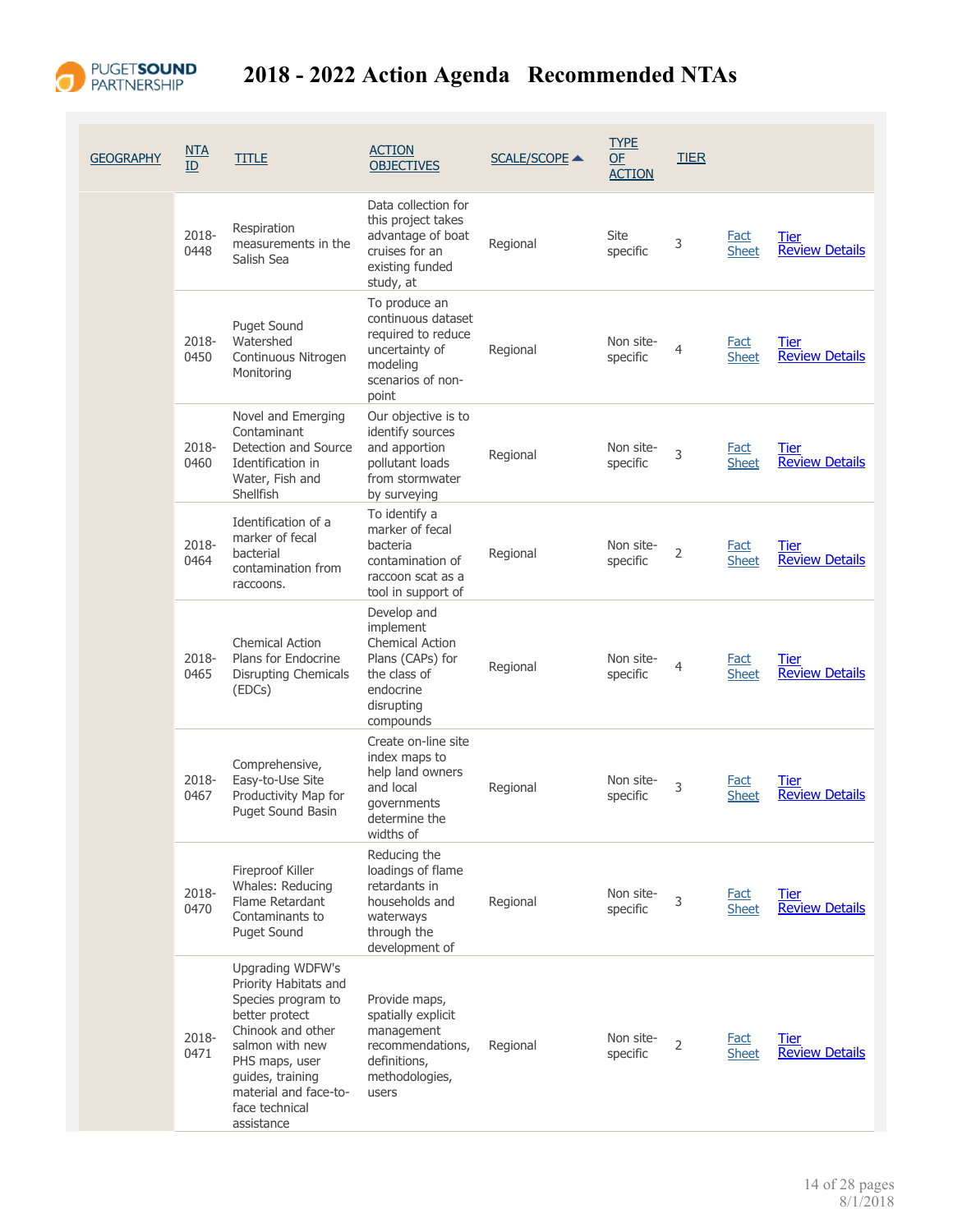

| <b>GEOGRAPHY</b> | <u>NTA</u><br>ID | <b>TITLE</b>                                                                                                                                                                                                             | <b>ACTION</b><br><b>OBJECTIVES</b>                                                                                             | <b>SCALE/SCOPE ▲</b> | <b>TYPE</b><br>OF<br><b>ACTION</b> | <b>TIER</b>    |                             |                                      |
|------------------|------------------|--------------------------------------------------------------------------------------------------------------------------------------------------------------------------------------------------------------------------|--------------------------------------------------------------------------------------------------------------------------------|----------------------|------------------------------------|----------------|-----------------------------|--------------------------------------|
|                  | 2018-<br>0448    | Respiration<br>measurements in the<br>Salish Sea                                                                                                                                                                         | Data collection for<br>this project takes<br>advantage of boat<br>cruises for an<br>existing funded<br>study, at               | Regional             | Site<br>specific                   | 3              | Fact<br><b>Sheet</b>        | Tier<br><b>Review Details</b>        |
|                  | 2018-<br>0450    | <b>Puget Sound</b><br>Watershed<br>Continuous Nitrogen<br>Monitoring                                                                                                                                                     | To produce an<br>continuous dataset<br>required to reduce<br>uncertainty of<br>modeling<br>scenarios of non-<br>point          | Regional             | Non site-<br>specific              | 4              | <b>Fact</b><br><b>Sheet</b> | Tier<br><b>Review Details</b>        |
|                  | 2018-<br>0460    | Novel and Emerging<br>Contaminant<br>Detection and Source<br>Identification in<br>Water, Fish and<br>Shellfish                                                                                                           | Our objective is to<br>identify sources<br>and apportion<br>pollutant loads<br>from stormwater<br>by surveying                 | Regional             | Non site-<br>specific              | 3              | <b>Fact</b><br><b>Sheet</b> | Tier<br><b>Review Details</b>        |
|                  | 2018-<br>0464    | Identification of a<br>marker of fecal<br>bacterial<br>contamination from<br>raccoons.                                                                                                                                   | To identify a<br>marker of fecal<br>bacteria<br>contamination of<br>raccoon scat as a<br>tool in support of                    | Regional             | Non site-<br>specific              | $\overline{2}$ | <b>Fact</b><br><b>Sheet</b> | Tier<br><b>Review Details</b>        |
|                  | 2018-<br>0465    | <b>Chemical Action</b><br>Plans for Endocrine<br><b>Disrupting Chemicals</b><br>(EDCs)                                                                                                                                   | Develop and<br>implement<br><b>Chemical Action</b><br>Plans (CAPs) for<br>the class of<br>endocrine<br>disrupting<br>compounds | Regional             | Non site-<br>specific              | 4              | Fact<br><b>Sheet</b>        | Tier<br><b>Review Details</b>        |
|                  | 2018-<br>0467    | Comprehensive,<br>Easy-to-Use Site<br>Productivity Map for<br><b>Puget Sound Basin</b>                                                                                                                                   | Create on-line site<br>index maps to<br>help land owners<br>and local<br>governments<br>determine the<br>widths of             | Regional             | Non site-<br>specific              | 3              | Fact<br><b>Sheet</b>        | Tier<br><b>Review Details</b>        |
|                  | 2018-<br>0470    | Fireproof Killer<br>Whales: Reducing<br>Flame Retardant<br>Contaminants to<br>Puget Sound                                                                                                                                | Reducing the<br>loadings of flame<br>retardants in<br>households and<br>waterways<br>through the<br>development of             | Regional             | Non site-<br>specific              | 3              | <b>Fact</b><br><b>Sheet</b> | Tier<br><b>Review Details</b>        |
|                  | 2018-<br>0471    | Upgrading WDFW's<br>Priority Habitats and<br>Species program to<br>better protect<br>Chinook and other<br>salmon with new<br>PHS maps, user<br>guides, training<br>material and face-to-<br>face technical<br>assistance | Provide maps,<br>spatially explicit<br>management<br>recommendations,<br>definitions,<br>methodologies,<br>users               | Regional             | Non site-<br>specific              | $\overline{2}$ | <b>Fact</b><br><b>Sheet</b> | <b>Tier</b><br><b>Review Details</b> |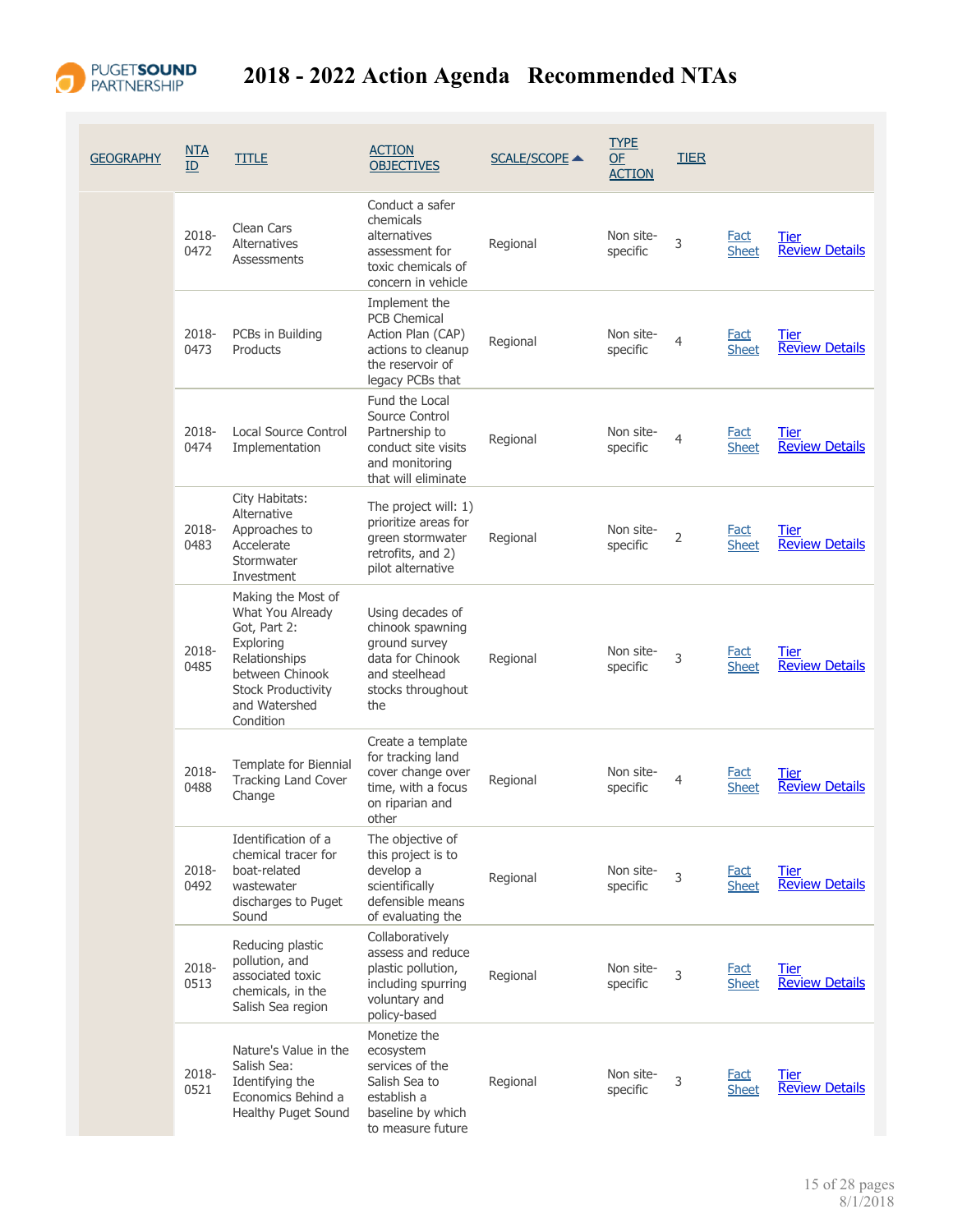

| <b>GEOGRAPHY</b> | <u>NTA</u><br>ID | <b>TITLE</b>                                                                                                                                                       | <b>ACTION</b><br><b>OBJECTIVES</b>                                                                                      | <b>SCALE/SCOPE ▲</b> | <b>TYPE</b><br>$OF$<br><b>ACTION</b> | <b>TIER</b> |                             |                                      |
|------------------|------------------|--------------------------------------------------------------------------------------------------------------------------------------------------------------------|-------------------------------------------------------------------------------------------------------------------------|----------------------|--------------------------------------|-------------|-----------------------------|--------------------------------------|
|                  | 2018-<br>0472    | Clean Cars<br><b>Alternatives</b><br>Assessments                                                                                                                   | Conduct a safer<br>chemicals<br>alternatives<br>assessment for<br>toxic chemicals of<br>concern in vehicle              | Regional             | Non site-<br>specific                | 3           | Fact<br><b>Sheet</b>        | Tier<br><b>Review Details</b>        |
|                  | 2018-<br>0473    | PCBs in Building<br>Products                                                                                                                                       | Implement the<br><b>PCB Chemical</b><br>Action Plan (CAP)<br>actions to cleanup<br>the reservoir of<br>legacy PCBs that | Regional             | Non site-<br>specific                | 4           | Fact<br><b>Sheet</b>        | Tier<br><b>Review Details</b>        |
|                  | 2018-<br>0474    | Local Source Control<br>Implementation                                                                                                                             | Fund the Local<br>Source Control<br>Partnership to<br>conduct site visits<br>and monitoring<br>that will eliminate      | Regional             | Non site-<br>specific                | 4           | Fact<br><b>Sheet</b>        | Tier<br><b>Review Details</b>        |
|                  | 2018-<br>0483    | City Habitats:<br>Alternative<br>Approaches to<br>Accelerate<br>Stormwater<br>Investment                                                                           | The project will: 1)<br>prioritize areas for<br>green stormwater<br>retrofits, and 2)<br>pilot alternative              | Regional             | Non site-<br>specific                | 2           | Fact<br><b>Sheet</b>        | Tier<br><b>Review Details</b>        |
|                  | 2018-<br>0485    | Making the Most of<br>What You Already<br>Got, Part 2:<br>Exploring<br>Relationships<br>between Chinook<br><b>Stock Productivity</b><br>and Watershed<br>Condition | Using decades of<br>chinook spawning<br>ground survey<br>data for Chinook<br>and steelhead<br>stocks throughout<br>the  | Regional             | Non site-<br>specific                | 3           | Fact<br><b>Sheet</b>        | Tier<br><b>Review Details</b>        |
|                  | 2018-<br>0488    | Template for Biennial<br>Tracking Land Cover<br>Change                                                                                                             | Create a template<br>for tracking land<br>cover change over<br>time, with a focus<br>on riparian and<br>other           | Regional             | Non site-<br>specific                | 4           | <b>Fact</b><br><b>Sheet</b> | Tier<br><b>Review Details</b>        |
|                  | 2018-<br>0492    | Identification of a<br>chemical tracer for<br>boat-related<br>wastewater<br>discharges to Puget<br>Sound                                                           | The objective of<br>this project is to<br>develop a<br>scientifically<br>defensible means<br>of evaluating the          | Regional             | Non site-<br>specific                | 3           | <b>Fact</b><br><b>Sheet</b> | Tier<br><b>Review Details</b>        |
|                  | 2018-<br>0513    | Reducing plastic<br>pollution, and<br>associated toxic<br>chemicals, in the<br>Salish Sea region                                                                   | Collaboratively<br>assess and reduce<br>plastic pollution,<br>including spurring<br>voluntary and<br>policy-based       | Regional             | Non site-<br>specific                | 3           | <b>Fact</b><br><b>Sheet</b> | <b>Tier</b><br><b>Review Details</b> |
|                  | 2018-<br>0521    | Nature's Value in the<br>Salish Sea:<br>Identifying the<br>Economics Behind a<br>Healthy Puget Sound                                                               | Monetize the<br>ecosystem<br>services of the<br>Salish Sea to<br>establish a<br>baseline by which<br>to measure future  | Regional             | Non site-<br>specific                | 3           | <b>Fact</b><br><b>Sheet</b> | <b>Tier</b><br><b>Review Details</b> |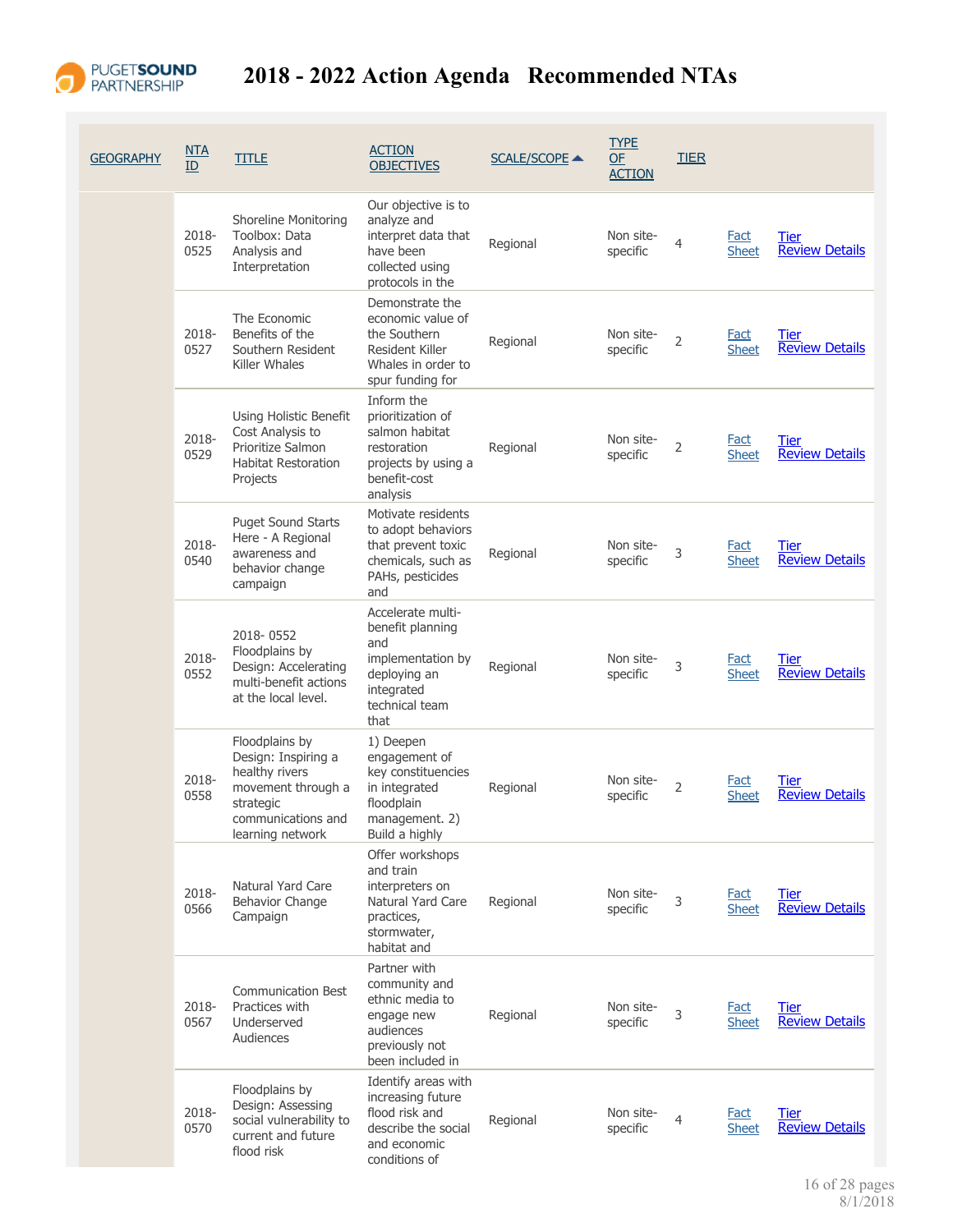

| <b>GEOGRAPHY</b> | NTA<br>$\overline{ID}$ | <b>TITLE</b>                                                                                                                         | <b>ACTION</b><br><b>OBJECTIVES</b>                                                                                        | SCALE/SCOPE ▲ | <b>TYPE</b><br>OF<br><b>ACTION</b> | <b>TIER</b>    |                             |                                      |
|------------------|------------------------|--------------------------------------------------------------------------------------------------------------------------------------|---------------------------------------------------------------------------------------------------------------------------|---------------|------------------------------------|----------------|-----------------------------|--------------------------------------|
|                  | 2018-<br>0525          | <b>Shoreline Monitoring</b><br>Toolbox: Data<br>Analysis and<br>Interpretation                                                       | Our objective is to<br>analyze and<br>interpret data that<br>have been<br>collected using<br>protocols in the             | Regional      | Non site-<br>specific              | 4              | Fact<br><b>Sheet</b>        | Tier<br><b>Review Details</b>        |
|                  | 2018-<br>0527          | The Economic<br>Benefits of the<br>Southern Resident<br>Killer Whales                                                                | Demonstrate the<br>economic value of<br>the Southern<br>Resident Killer<br>Whales in order to<br>spur funding for         | Regional      | Non site-<br>specific              | 2              | Fact<br><b>Sheet</b>        | Tier<br><b>Review Details</b>        |
|                  | 2018-<br>0529          | Using Holistic Benefit<br>Cost Analysis to<br>Prioritize Salmon<br><b>Habitat Restoration</b><br>Projects                            | Inform the<br>prioritization of<br>salmon habitat<br>restoration<br>projects by using a<br>benefit-cost<br>analysis       | Regional      | Non site-<br>specific              | $\overline{2}$ | <b>Fact</b><br><b>Sheet</b> | Tier<br><b>Review Details</b>        |
|                  | 2018-<br>0540          | Puget Sound Starts<br>Here - A Regional<br>awareness and<br>behavior change<br>campaign                                              | Motivate residents<br>to adopt behaviors<br>that prevent toxic<br>chemicals, such as<br>PAHs, pesticides<br>and           | Regional      | Non site-<br>specific              | 3              | <b>Fact</b><br><b>Sheet</b> | Tier<br><b>Review Details</b>        |
|                  | 2018-<br>0552          | 2018-0552<br>Floodplains by<br>Design: Accelerating<br>multi-benefit actions<br>at the local level.                                  | Accelerate multi-<br>benefit planning<br>and<br>implementation by<br>deploying an<br>integrated<br>technical team<br>that | Regional      | Non site-<br>specific              | 3              | Fact<br><b>Sheet</b>        | Tier<br><b>Review Details</b>        |
|                  | 2018-<br>0558          | Floodplains by<br>Design: Inspiring a<br>healthy rivers<br>movement through a<br>strategic<br>communications and<br>learning network | 1) Deepen<br>engagement of<br>key constituencies<br>in integrated<br>floodplain<br>management. 2)<br>Build a highly       | Regional      | Non site-<br>specific              | 2              | Fact<br><b>Sheet</b>        | Tier<br><b>Review Details</b>        |
|                  | 2018-<br>0566          | <b>Natural Yard Care</b><br>Behavior Change<br>Campaign                                                                              | Offer workshops<br>and train<br>interpreters on<br>Natural Yard Care<br>practices,<br>stormwater,<br>habitat and          | Regional      | Non site-<br>specific              | 3              | <b>Fact</b><br><b>Sheet</b> | Tier<br><b>Review Details</b>        |
|                  | 2018-<br>0567          | <b>Communication Best</b><br>Practices with<br>Underserved<br>Audiences                                                              | Partner with<br>community and<br>ethnic media to<br>engage new<br>audiences<br>previously not<br>been included in         | Regional      | Non site-<br>specific              | 3              | <b>Fact</b><br><b>Sheet</b> | <u>Tier</u><br><b>Review Details</b> |
|                  | 2018-<br>0570          | Floodplains by<br>Design: Assessing<br>social vulnerability to<br>current and future<br>flood risk                                   | Identify areas with<br>increasing future<br>flood risk and<br>describe the social<br>and economic<br>conditions of        | Regional      | Non site-<br>specific              | 4              | <b>Fact</b><br><b>Sheet</b> | Tier<br><b>Review Details</b>        |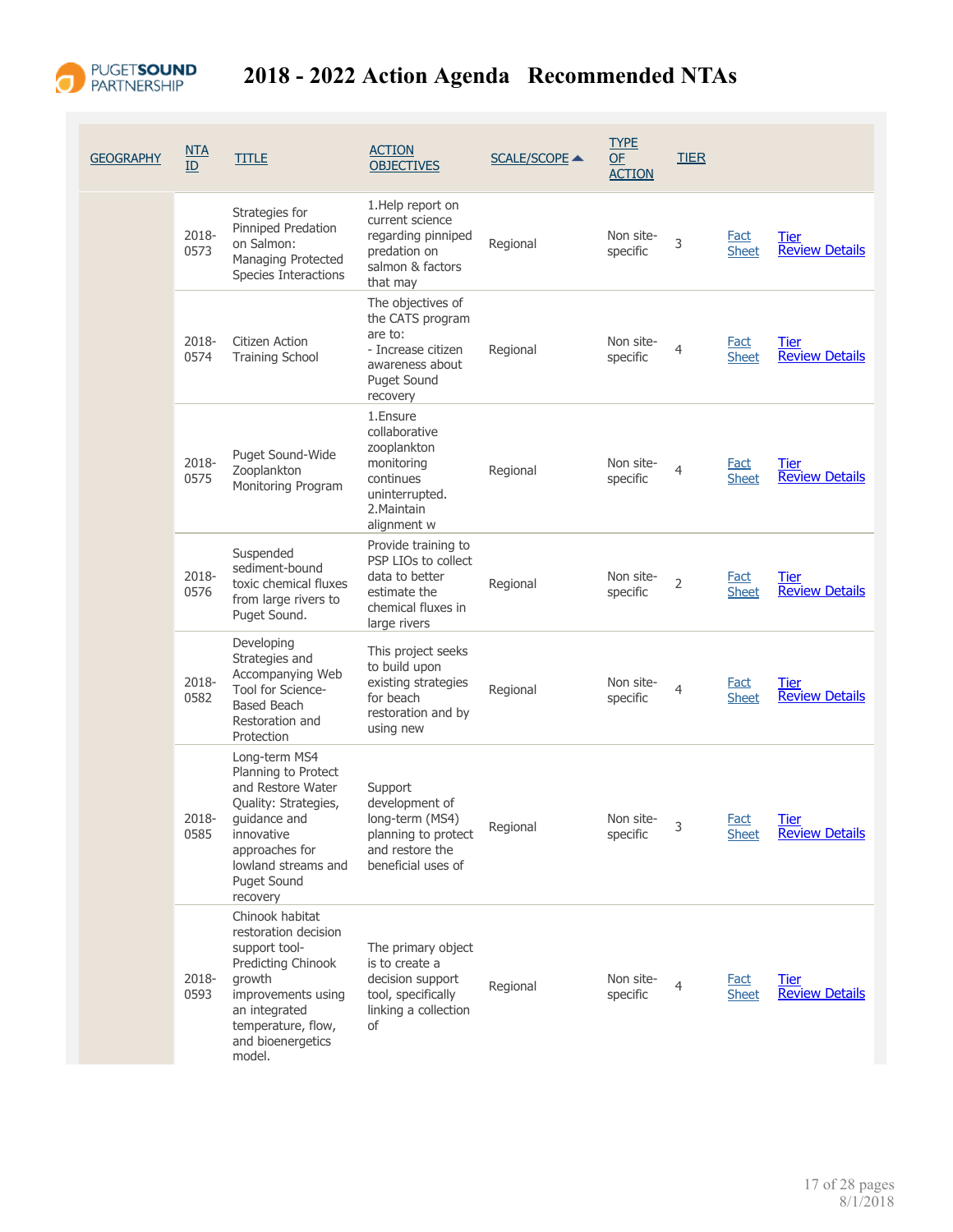

| <b>GEOGRAPHY</b> | <u>NTA</u><br>ID | <b>TITLE</b>                                                                                                                                                                                     | <b>ACTION</b><br><b>OBJECTIVES</b>                                                                                          | <b>SCALE/SCOPE ▲</b> | <b>TYPE</b><br>OF<br><b>ACTION</b> | <b>TIER</b>    |                             |                                      |
|------------------|------------------|--------------------------------------------------------------------------------------------------------------------------------------------------------------------------------------------------|-----------------------------------------------------------------------------------------------------------------------------|----------------------|------------------------------------|----------------|-----------------------------|--------------------------------------|
|                  | 2018-<br>0573    | Strategies for<br>Pinniped Predation<br>on Salmon:<br>Managing Protected<br>Species Interactions                                                                                                 | 1. Help report on<br>current science<br>regarding pinniped<br>predation on<br>salmon & factors<br>that may                  | Regional             | Non site-<br>specific              | 3              | <b>Fact</b><br><b>Sheet</b> | Tier<br><b>Review Details</b>        |
|                  | $2018 -$<br>0574 | Citizen Action<br><b>Training School</b>                                                                                                                                                         | The objectives of<br>the CATS program<br>are to:<br>- Increase citizen<br>awareness about<br><b>Puget Sound</b><br>recovery | Regional             | Non site-<br>specific              | 4              | <b>Fact</b><br><b>Sheet</b> | Tier<br><b>Review Details</b>        |
|                  | 2018-<br>0575    | Puget Sound-Wide<br>Zooplankton<br>Monitoring Program                                                                                                                                            | 1. Ensure<br>collaborative<br>zooplankton<br>monitoring<br>continues<br>uninterrupted.<br>2. Maintain<br>alignment w        | Regional             | Non site-<br>specific              | $\overline{4}$ | Fact<br><b>Sheet</b>        | Tier<br><b>Review Details</b>        |
|                  | 2018-<br>0576    | Suspended<br>sediment-bound<br>toxic chemical fluxes<br>from large rivers to<br>Puget Sound.                                                                                                     | Provide training to<br>PSP LIOs to collect<br>data to better<br>estimate the<br>chemical fluxes in<br>large rivers          | Regional             | Non site-<br>specific              | $\overline{2}$ | Fact<br><b>Sheet</b>        | Tier<br><b>Review Details</b>        |
|                  | 2018-<br>0582    | Developing<br>Strategies and<br>Accompanying Web<br>Tool for Science-<br><b>Based Beach</b><br>Restoration and<br>Protection                                                                     | This project seeks<br>to build upon<br>existing strategies<br>for beach<br>restoration and by<br>using new                  | Regional             | Non site-<br>specific              | 4              | Fact<br><b>Sheet</b>        | <u>Tier</u><br><b>Review Details</b> |
|                  | 0585             | Long-term MS4<br>Planning to Protect<br>and Restore Water<br>Quality: Strategies,<br>2018- guidance and<br>innovative<br>approaches for<br>lowland streams and<br><b>Puget Sound</b><br>recovery | Support<br>development of<br>long-term (MS4)<br>planning to protect<br>and restore the<br>beneficial uses of                | Regional             | Non site-<br>specific              | 3              | <b>Fact</b><br><b>Sheet</b> | <b>Tier</b><br><b>Review Details</b> |
|                  | 2018-<br>0593    | Chinook habitat<br>restoration decision<br>support tool-<br>Predicting Chinook<br>growth<br>improvements using<br>an integrated<br>temperature, flow,<br>and bioenergetics<br>model.             | The primary object<br>is to create a<br>decision support<br>tool, specifically<br>linking a collection<br>of                | Regional             | Non site-<br>specific              | $\overline{4}$ | Fact<br><b>Sheet</b>        | <b>Tier</b><br><b>Review Details</b> |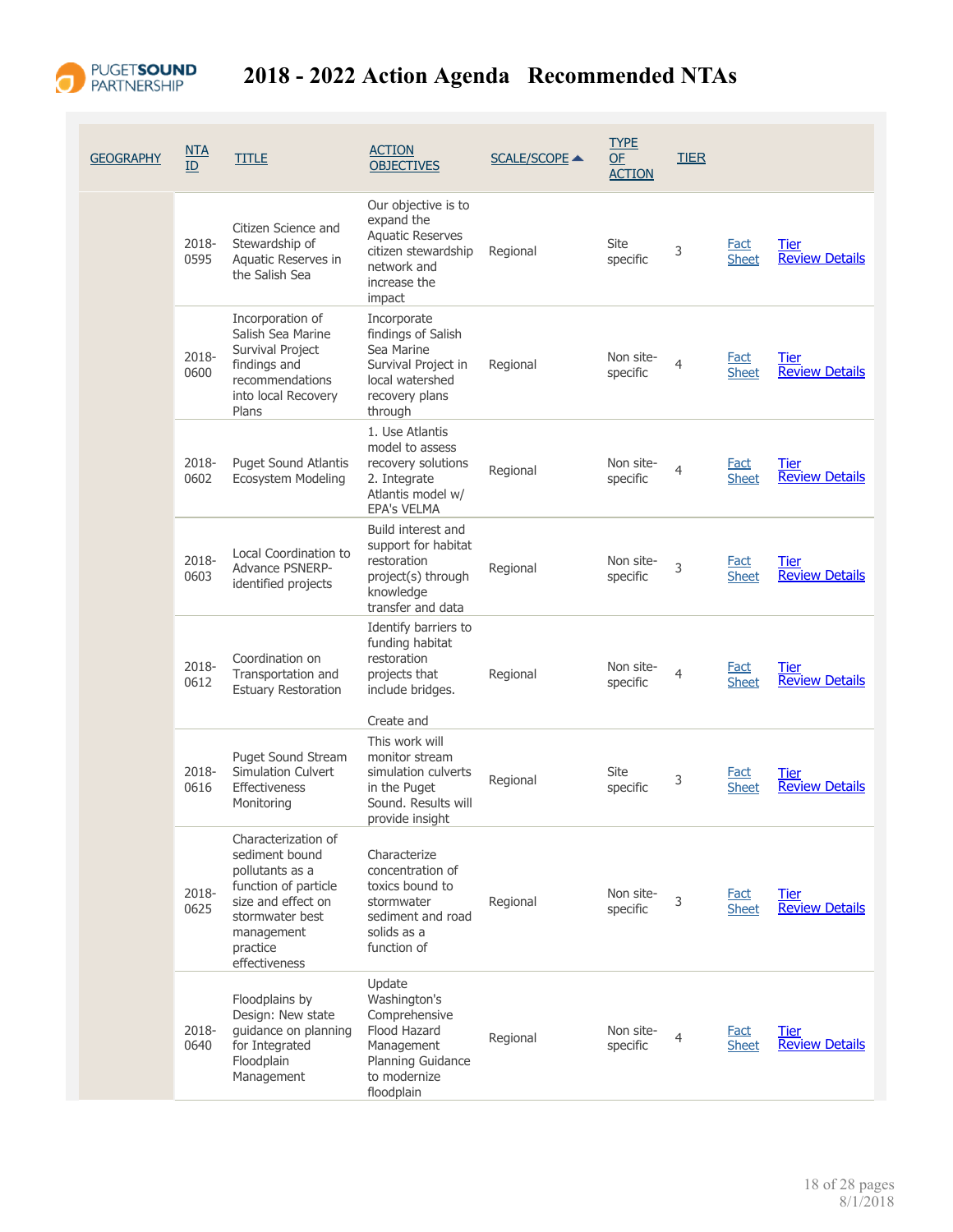

| <b>GEOGRAPHY</b> | NTA<br>ID     | <b>TITLE</b>                                                                                                                                                         | <b>ACTION</b><br><b>OBJECTIVES</b>                                                                                           | <b>SCALE/SCOPE ▲</b> | <b>TYPE</b><br><b>OF</b><br><b>ACTION</b> | <b>TIER</b>    |                             |                                      |
|------------------|---------------|----------------------------------------------------------------------------------------------------------------------------------------------------------------------|------------------------------------------------------------------------------------------------------------------------------|----------------------|-------------------------------------------|----------------|-----------------------------|--------------------------------------|
|                  | 2018-<br>0595 | Citizen Science and<br>Stewardship of<br>Aquatic Reserves in<br>the Salish Sea                                                                                       | Our objective is to<br>expand the<br><b>Aquatic Reserves</b><br>citizen stewardship<br>network and<br>increase the<br>impact | Regional             | Site<br>specific                          | 3              | <b>Fact</b><br><b>Sheet</b> | <b>Tier</b><br><b>Review Details</b> |
|                  | 2018-<br>0600 | Incorporation of<br>Salish Sea Marine<br>Survival Project<br>findings and<br>recommendations<br>into local Recovery<br>Plans                                         | Incorporate<br>findings of Salish<br>Sea Marine<br>Survival Project in<br>local watershed<br>recovery plans<br>through       | Regional             | Non site-<br>specific                     | $\overline{4}$ | Fact<br><b>Sheet</b>        | Tier<br><b>Review Details</b>        |
|                  | 2018-<br>0602 | <b>Puget Sound Atlantis</b><br>Ecosystem Modeling                                                                                                                    | 1. Use Atlantis<br>model to assess<br>recovery solutions<br>2. Integrate<br>Atlantis model w/<br><b>EPA's VELMA</b>          | Regional             | Non site-<br>specific                     | $\overline{4}$ | <b>Fact</b><br><b>Sheet</b> | Tier<br><b>Review Details</b>        |
|                  | 2018-<br>0603 | Local Coordination to<br>Advance PSNERP-<br>identified projects                                                                                                      | Build interest and<br>support for habitat<br>restoration<br>project(s) through<br>knowledge<br>transfer and data             | Regional             | Non site-<br>specific                     | 3              | Fact<br><b>Sheet</b>        | Tier<br><b>Review Details</b>        |
|                  | 2018-<br>0612 | Coordination on<br>Transportation and<br><b>Estuary Restoration</b>                                                                                                  | Identify barriers to<br>funding habitat<br>restoration<br>projects that<br>include bridges.<br>Create and                    | Regional             | Non site-<br>specific                     | $\overline{4}$ | <b>Fact</b><br><b>Sheet</b> | <b>Tier</b><br><b>Review Details</b> |
|                  | 2018-<br>0616 | Puget Sound Stream<br>Simulation Culvert<br>Effectiveness<br>Monitoring                                                                                              | This work will<br>monitor stream<br>simulation culverts<br>in the Puget<br>Sound. Results will<br>provide insight            | Regional             | Site<br>specific                          | 3              | <b>Fact</b><br><b>Sheet</b> | Tier<br><b>Review Details</b>        |
|                  | 2018-<br>0625 | Characterization of<br>sediment bound<br>pollutants as a<br>function of particle<br>size and effect on<br>stormwater best<br>management<br>practice<br>effectiveness | Characterize<br>concentration of<br>toxics bound to<br>stormwater<br>sediment and road<br>solids as a<br>function of         | Regional             | Non site-<br>specific                     | 3              | <b>Fact</b><br><b>Sheet</b> | Tier<br><b>Review Details</b>        |
|                  | 2018-<br>0640 | Floodplains by<br>Design: New state<br>guidance on planning<br>for Integrated<br>Floodplain<br>Management                                                            | Update<br>Washington's<br>Comprehensive<br>Flood Hazard<br>Management<br>Planning Guidance<br>to modernize<br>floodplain     | Regional             | Non site-<br>specific                     | 4              | Fact<br><b>Sheet</b>        | Tier<br><b>Review Details</b>        |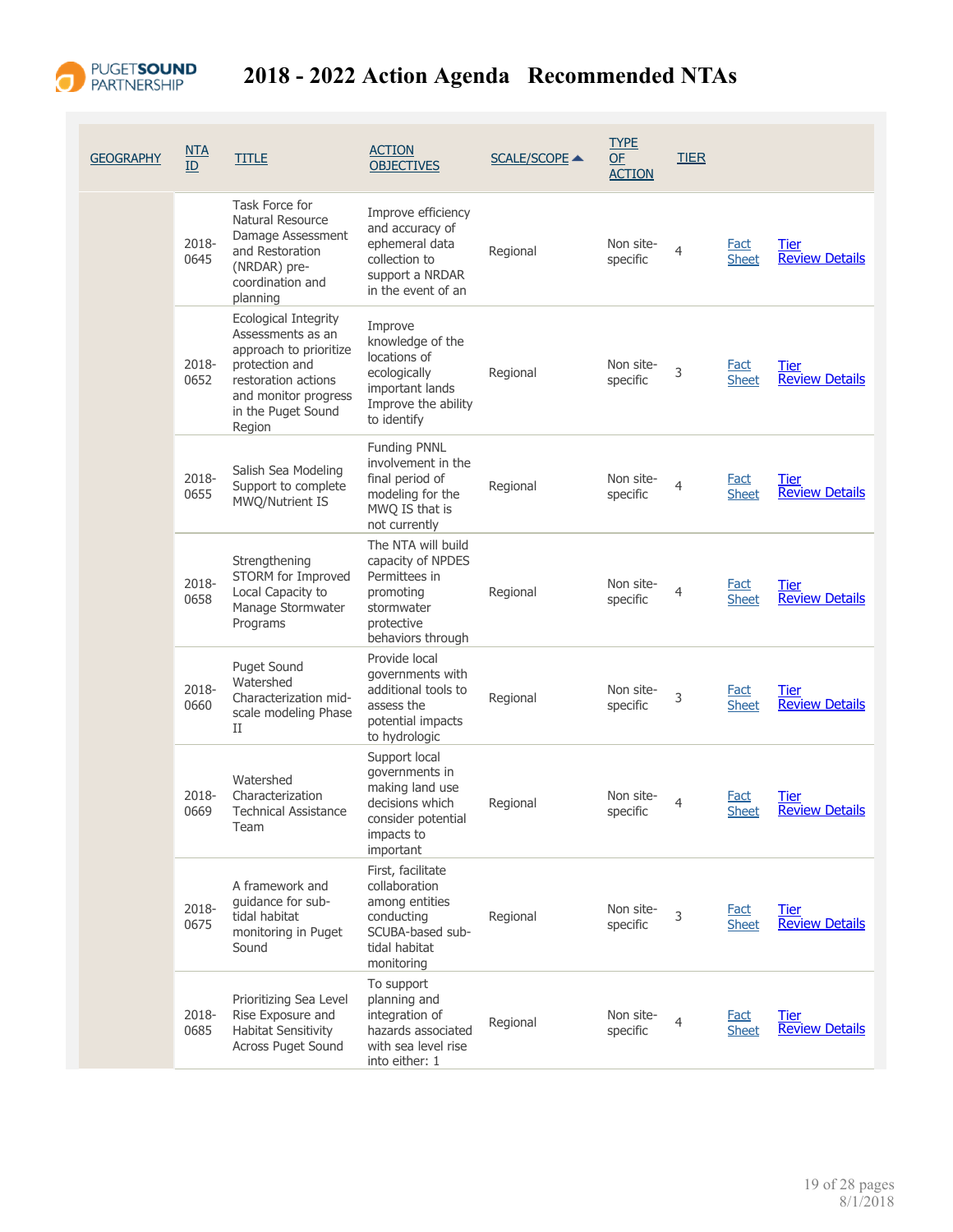

## PUGETSOUND 2018 - 2022 Action Agenda Recommended NTAs

| <b>GEOGRAPHY</b> | <u>NTA</u><br>ID | <b>TITLE</b>                                                                                                                                                         | <b>ACTION</b><br><b>OBJECTIVES</b>                                                                                     | <b>SCALE/SCOPE ▲</b> | <b>TYPE</b><br>OF<br><b>ACTION</b> | <b>TIER</b>    |                             |                                      |
|------------------|------------------|----------------------------------------------------------------------------------------------------------------------------------------------------------------------|------------------------------------------------------------------------------------------------------------------------|----------------------|------------------------------------|----------------|-----------------------------|--------------------------------------|
|                  | 2018-<br>0645    | Task Force for<br>Natural Resource<br>Damage Assessment<br>and Restoration<br>(NRDAR) pre-<br>coordination and<br>planning                                           | Improve efficiency<br>and accuracy of<br>ephemeral data<br>collection to<br>support a NRDAR<br>in the event of an      | Regional             | Non site-<br>specific              | $\overline{4}$ | <b>Fact</b><br><b>Sheet</b> | <b>Tier</b><br><b>Review Details</b> |
|                  | 2018-<br>0652    | Ecological Integrity<br>Assessments as an<br>approach to prioritize<br>protection and<br>restoration actions<br>and monitor progress<br>in the Puget Sound<br>Region | Improve<br>knowledge of the<br>locations of<br>ecologically<br>important lands<br>Improve the ability<br>to identify   | Regional             | Non site-<br>specific              | 3              | <b>Fact</b><br><b>Sheet</b> | Tier<br><b>Review Details</b>        |
|                  | 2018-<br>0655    | Salish Sea Modeling<br>Support to complete<br>MWQ/Nutrient IS                                                                                                        | <b>Funding PNNL</b><br>involvement in the<br>final period of<br>modeling for the<br>MWQ IS that is<br>not currently    | Regional             | Non site-<br>specific              | $\overline{4}$ | Fact<br><b>Sheet</b>        | Tier<br><b>Review Details</b>        |
|                  | 2018-<br>0658    | Strengthening<br>STORM for Improved<br>Local Capacity to<br>Manage Stormwater<br>Programs                                                                            | The NTA will build<br>capacity of NPDES<br>Permittees in<br>promoting<br>stormwater<br>protective<br>behaviors through | Regional             | Non site-<br>specific              | 4              | Fact<br><b>Sheet</b>        | Tier<br><b>Review Details</b>        |
|                  | 2018-<br>0660    | <b>Puget Sound</b><br>Watershed<br>Characterization mid-<br>scale modeling Phase<br>П                                                                                | Provide local<br>governments with<br>additional tools to<br>assess the<br>potential impacts<br>to hydrologic           | Regional             | Non site-<br>specific              | 3              | <b>Fact</b><br><b>Sheet</b> | Tier<br><b>Review Details</b>        |
|                  | 2018-<br>0669    | Watershed<br>Characterization<br><b>Technical Assistance</b><br>Team                                                                                                 | Support local<br>governments in<br>making land use<br>decisions which<br>consider potential<br>impacts to<br>important | Regional             | Non site-<br>specific              | 4              | <u>Fact</u><br>Sheet        | Tier<br><b>Review Details</b>        |
|                  | 2018-<br>0675    | A framework and<br>guidance for sub-<br>tidal habitat<br>monitoring in Puget<br>Sound                                                                                | First, facilitate<br>collaboration<br>among entities<br>conducting<br>SCUBA-based sub-<br>tidal habitat<br>monitoring  | Regional             | Non site-<br>specific              | 3              | Fact<br><b>Sheet</b>        | <b>Tier</b><br><b>Review Details</b> |
|                  | 2018-<br>0685    | Prioritizing Sea Level<br>Rise Exposure and<br><b>Habitat Sensitivity</b><br>Across Puget Sound                                                                      | To support<br>planning and<br>integration of<br>hazards associated<br>with sea level rise<br>into either: 1            | Regional             | Non site-<br>specific              | $\overline{4}$ | <b>Fact</b><br><b>Sheet</b> | Tier<br><b>Review Details</b>        |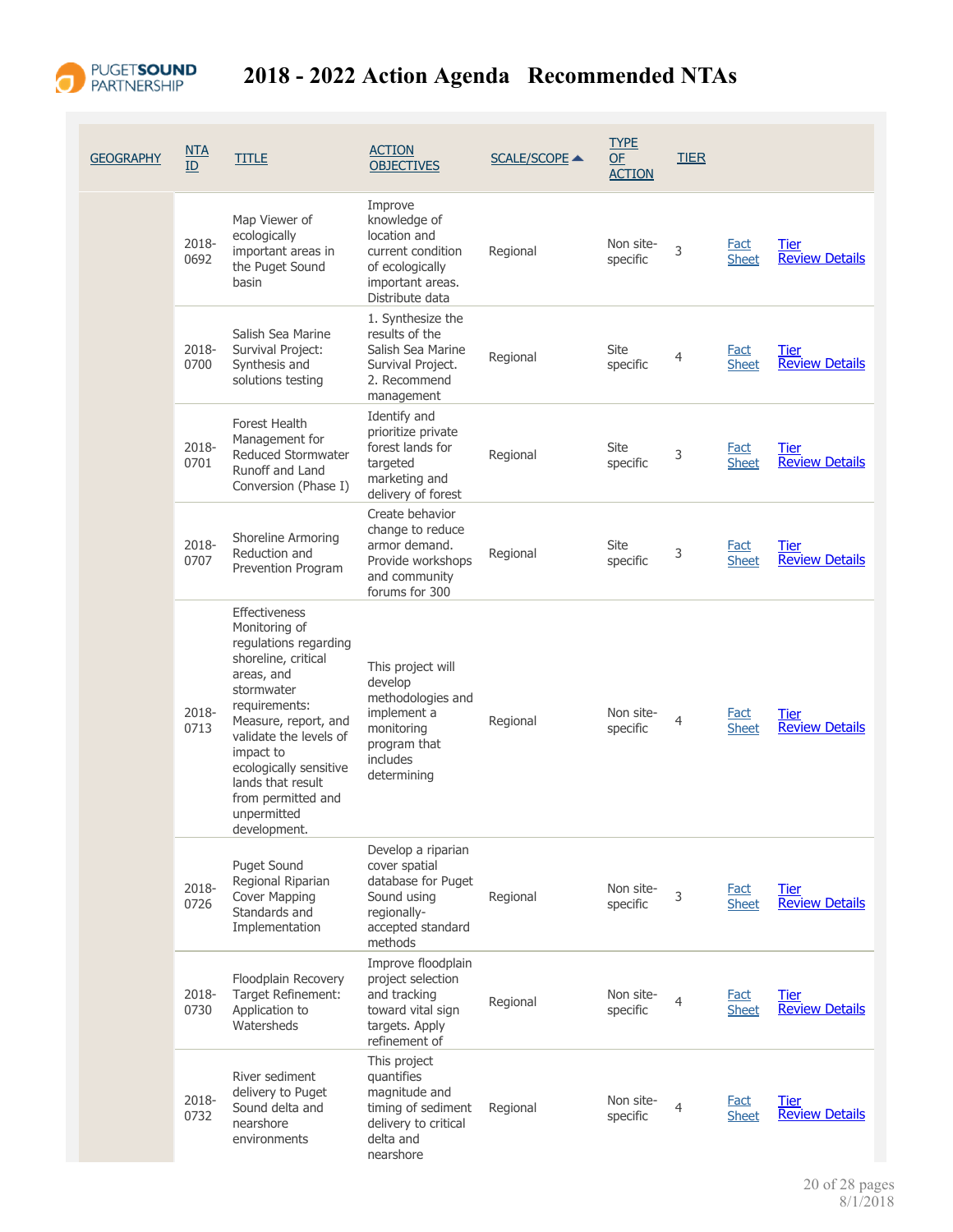

| <b>GEOGRAPHY</b> | NTA<br>ID     | title                                                                                                                                                                                                                                                                                          | <b>ACTION</b><br><b>OBJECTIVES</b>                                                                                        | <b>SCALE/SCOPE ▲</b> | <b>TYPE</b><br>OF<br><b>ACTION</b> | <b>TIER</b>    |                             |                                      |
|------------------|---------------|------------------------------------------------------------------------------------------------------------------------------------------------------------------------------------------------------------------------------------------------------------------------------------------------|---------------------------------------------------------------------------------------------------------------------------|----------------------|------------------------------------|----------------|-----------------------------|--------------------------------------|
|                  | 2018-<br>0692 | Map Viewer of<br>ecologically<br>important areas in<br>the Puget Sound<br>basin                                                                                                                                                                                                                | Improve<br>knowledge of<br>location and<br>current condition<br>of ecologically<br>important areas.<br>Distribute data    | Regional             | Non site-<br>specific              | 3              | <b>Fact</b><br><b>Sheet</b> | Tier<br><b>Review Details</b>        |
|                  | 2018-<br>0700 | Salish Sea Marine<br>Survival Project:<br>Synthesis and<br>solutions testing                                                                                                                                                                                                                   | 1. Synthesize the<br>results of the<br>Salish Sea Marine<br>Survival Project.<br>2. Recommend<br>management               | Regional             | Site<br>specific                   | $\overline{4}$ | <b>Fact</b><br><b>Sheet</b> | Tier<br><b>Review Details</b>        |
|                  | 2018-<br>0701 | <b>Forest Health</b><br>Management for<br>Reduced Stormwater<br>Runoff and Land<br>Conversion (Phase I)                                                                                                                                                                                        | Identify and<br>prioritize private<br>forest lands for<br>targeted<br>marketing and<br>delivery of forest                 | Regional             | Site<br>specific                   | 3              | <b>Fact</b><br><b>Sheet</b> | <b>Tier</b><br><b>Review Details</b> |
|                  | 2018-<br>0707 | Shoreline Armoring<br>Reduction and<br>Prevention Program                                                                                                                                                                                                                                      | Create behavior<br>change to reduce<br>armor demand.<br>Provide workshops<br>and community<br>forums for 300              | Regional             | Site<br>specific                   | 3              | <b>Fact</b><br><b>Sheet</b> | <b>Tier</b><br><b>Review Details</b> |
|                  | 2018-<br>0713 | Effectiveness<br>Monitoring of<br>regulations regarding<br>shoreline, critical<br>areas, and<br>stormwater<br>requirements:<br>Measure, report, and<br>validate the levels of<br>impact to<br>ecologically sensitive<br>lands that result<br>from permitted and<br>unpermitted<br>development. | This project will<br>develop<br>methodologies and<br>implement a<br>monitoring<br>program that<br>includes<br>determining | Regional             | Non site-<br>specific              | 4              | Fact<br><b>Sheet</b>        | <b>Tier</b><br><b>Review Details</b> |
|                  | 2018-<br>0726 | <b>Puget Sound</b><br>Regional Riparian<br>Cover Mapping<br>Standards and<br>Implementation                                                                                                                                                                                                    | Develop a riparian<br>cover spatial<br>database for Puget<br>Sound using<br>regionally-<br>accepted standard<br>methods   | Regional             | Non site-<br>specific              | 3              | <b>Fact</b><br><b>Sheet</b> | <b>Tier</b><br><b>Review Details</b> |
|                  | 2018-<br>0730 | Floodplain Recovery<br>Target Refinement:<br>Application to<br>Watersheds                                                                                                                                                                                                                      | Improve floodplain<br>project selection<br>and tracking<br>toward vital sign<br>targets. Apply<br>refinement of           | Regional             | Non site-<br>specific              | $\overline{4}$ | <b>Fact</b><br><b>Sheet</b> | <b>Tier</b><br><b>Review Details</b> |
|                  | 2018-<br>0732 | River sediment<br>delivery to Puget<br>Sound delta and<br>nearshore<br>environments                                                                                                                                                                                                            | This project<br>quantifies<br>magnitude and<br>timing of sediment<br>delivery to critical<br>delta and<br>nearshore       | Regional             | Non site-<br>specific              | 4              | <b>Fact</b><br><b>Sheet</b> | <b>Tier</b><br><b>Review Details</b> |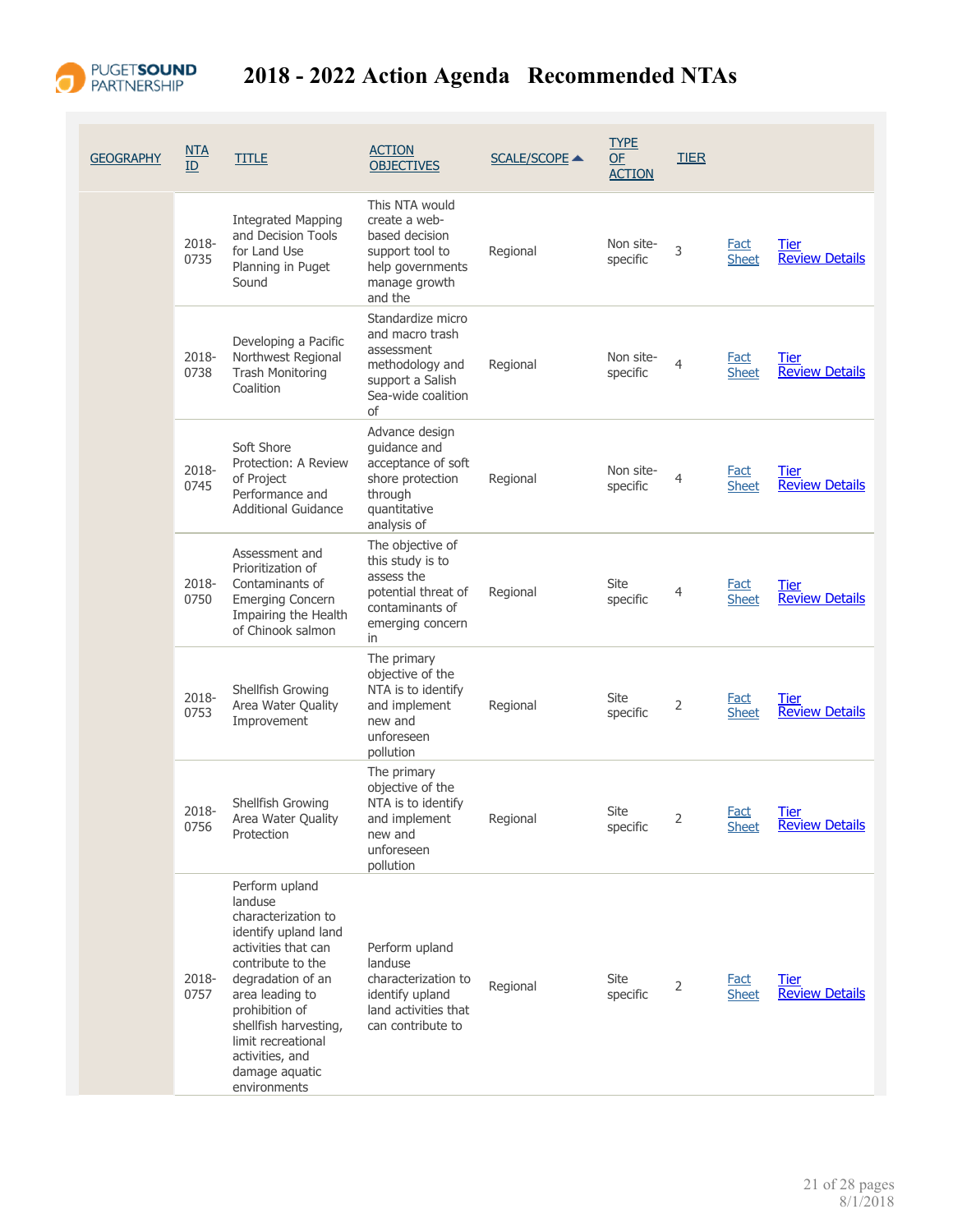

## PUGETSOUND 2018 - 2022 Action Agenda Recommended NTAs

| <b>GEOGRAPHY</b> | $NTA$<br>ID   | <b>TITLE</b>                                                                                                                                                                                                                                                                       | <b>ACTION</b><br><b>OBJECTIVES</b>                                                                                     | <b>SCALE/SCOPE ▲</b> | <b>TYPE</b><br>$OF$<br><b>ACTION</b> | <b>TIER</b> |                             |                                      |
|------------------|---------------|------------------------------------------------------------------------------------------------------------------------------------------------------------------------------------------------------------------------------------------------------------------------------------|------------------------------------------------------------------------------------------------------------------------|----------------------|--------------------------------------|-------------|-----------------------------|--------------------------------------|
|                  | 2018-<br>0735 | <b>Integrated Mapping</b><br>and Decision Tools<br>for Land Use<br>Planning in Puget<br>Sound                                                                                                                                                                                      | This NTA would<br>create a web-<br>based decision<br>support tool to<br>help governments<br>manage growth<br>and the   | Regional             | Non site-<br>specific                | 3           | <b>Fact</b><br><b>Sheet</b> | <b>Tier</b><br><b>Review Details</b> |
|                  | 2018-<br>0738 | Developing a Pacific<br>Northwest Regional<br><b>Trash Monitoring</b><br>Coalition                                                                                                                                                                                                 | Standardize micro<br>and macro trash<br>assessment<br>methodology and<br>support a Salish<br>Sea-wide coalition<br>of  | Regional             | Non site-<br>specific                | 4           | <b>Fact</b><br><b>Sheet</b> | <b>Tier</b><br><b>Review Details</b> |
|                  | 2018-<br>0745 | Soft Shore<br>Protection: A Review<br>of Project<br>Performance and<br><b>Additional Guidance</b>                                                                                                                                                                                  | Advance design<br>guidance and<br>acceptance of soft<br>shore protection<br>through<br>quantitative<br>analysis of     | Regional             | Non site-<br>specific                | 4           | <b>Fact</b><br><b>Sheet</b> | Tier<br><b>Review Details</b>        |
|                  | 2018-<br>0750 | Assessment and<br>Prioritization of<br>Contaminants of<br><b>Emerging Concern</b><br>Impairing the Health<br>of Chinook salmon                                                                                                                                                     | The objective of<br>this study is to<br>assess the<br>potential threat of<br>contaminants of<br>emerging concern<br>in | Regional             | Site<br>specific                     | 4           | Fact<br><b>Sheet</b>        | Tier<br><b>Review Details</b>        |
|                  | 2018-<br>0753 | Shellfish Growing<br>Area Water Quality<br>Improvement                                                                                                                                                                                                                             | The primary<br>objective of the<br>NTA is to identify<br>and implement<br>new and<br>unforeseen<br>pollution           | Regional             | Site<br>specific                     | 2           | <b>Fact</b><br><b>Sheet</b> | Tier<br><b>Review Details</b>        |
|                  | 2018-<br>0756 | Shellfish Growing<br>Area Water Quality<br>Protection                                                                                                                                                                                                                              | The primary<br>objective of the<br>NTA is to identify<br>and implement<br>new and<br>unforeseen<br>pollution           | Regional             | Site<br>specific                     | 2           | Fact<br><b>Sheet</b>        | Tier<br><b>Review Details</b>        |
|                  | 2018-<br>0757 | Perform upland<br>landuse<br>characterization to<br>identify upland land<br>activities that can<br>contribute to the<br>degradation of an<br>area leading to<br>prohibition of<br>shellfish harvesting,<br>limit recreational<br>activities, and<br>damage aquatic<br>environments | Perform upland<br>landuse<br>characterization to<br>identify upland<br>land activities that<br>can contribute to       | Regional             | Site<br>specific                     | 2           | <b>Fact</b><br><b>Sheet</b> | Tier<br><b>Review Details</b>        |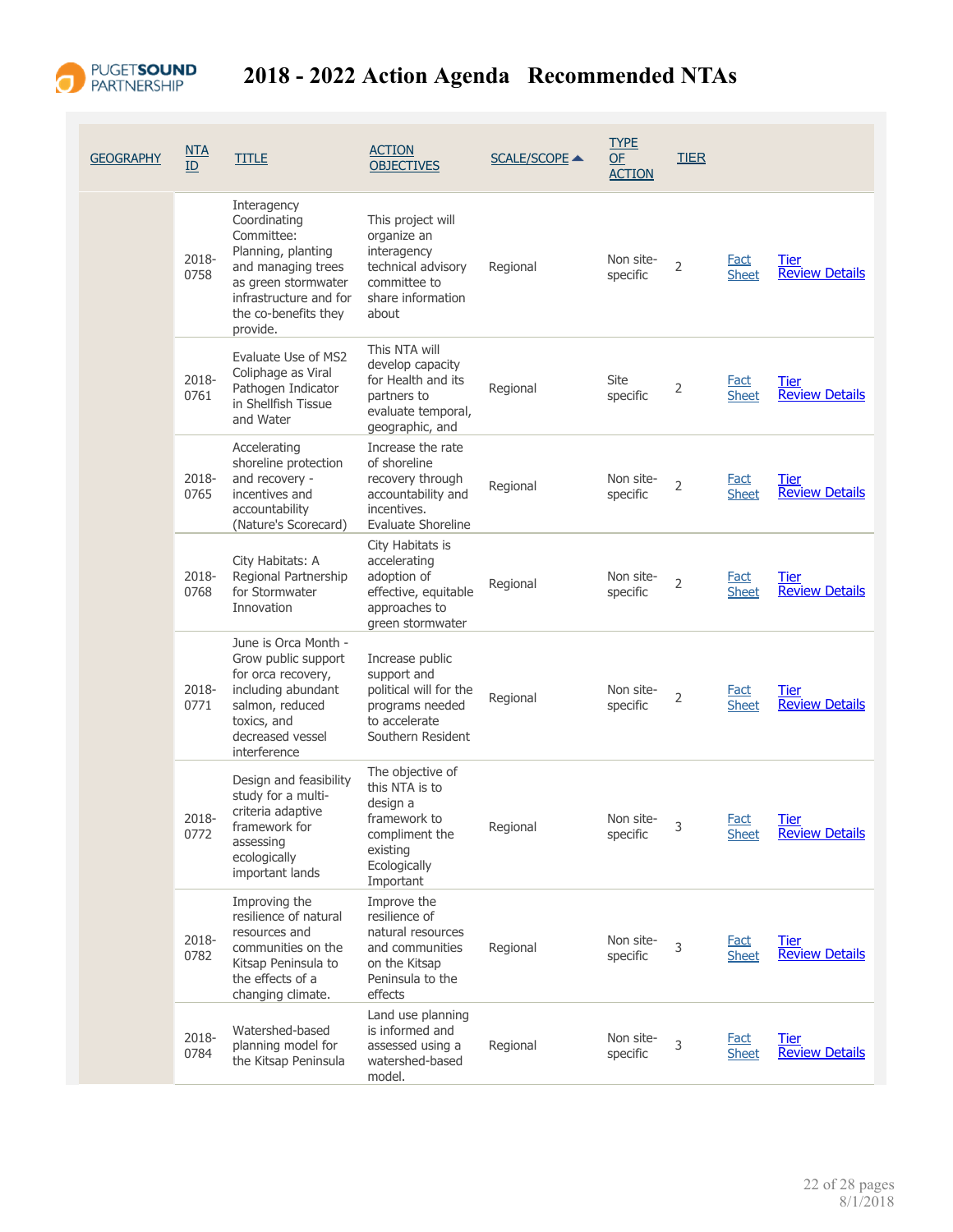

| <b>GEOGRAPHY</b> | NTA<br>ID     | <b>TITLE</b>                                                                                                                                                               | <b>ACTION</b><br><b>OBJECTIVES</b>                                                                                        | <b>SCALE/SCOPE ▲</b> | <b>TYPE</b><br><b>OF</b><br><b>ACTION</b> | <b>TIER</b>    |                             |                                      |
|------------------|---------------|----------------------------------------------------------------------------------------------------------------------------------------------------------------------------|---------------------------------------------------------------------------------------------------------------------------|----------------------|-------------------------------------------|----------------|-----------------------------|--------------------------------------|
|                  | 2018-<br>0758 | Interagency<br>Coordinating<br>Committee:<br>Planning, planting<br>and managing trees<br>as green stormwater<br>infrastructure and for<br>the co-benefits they<br>provide. | This project will<br>organize an<br>interagency<br>technical advisory<br>committee to<br>share information<br>about       | Regional             | Non site-<br>specific                     | 2              | <b>Fact</b><br><b>Sheet</b> | Tier<br><b>Review Details</b>        |
|                  | 2018-<br>0761 | Evaluate Use of MS2<br>Coliphage as Viral<br>Pathogen Indicator<br>in Shellfish Tissue<br>and Water                                                                        | This NTA will<br>develop capacity<br>for Health and its<br>partners to<br>evaluate temporal,<br>geographic, and           | Regional             | Site<br>specific                          | 2              | Fact<br><b>Sheet</b>        | Tier<br><b>Review Details</b>        |
|                  | 2018-<br>0765 | Accelerating<br>shoreline protection<br>and recovery -<br>incentives and<br>accountability<br>(Nature's Scorecard)                                                         | Increase the rate<br>of shoreline<br>recovery through<br>accountability and<br>incentives.<br>Evaluate Shoreline          | Regional             | Non site-<br>specific                     | 2              | <b>Fact</b><br><b>Sheet</b> | <u>Tier</u><br><b>Review Details</b> |
|                  | 2018-<br>0768 | City Habitats: A<br>Regional Partnership<br>for Stormwater<br>Innovation                                                                                                   | City Habitats is<br>accelerating<br>adoption of<br>effective, equitable<br>approaches to<br>green stormwater              | Regional             | Non site-<br>specific                     | $\overline{2}$ | <b>Fact</b><br><b>Sheet</b> | Tier<br><b>Review Details</b>        |
|                  | 2018-<br>0771 | June is Orca Month -<br>Grow public support<br>for orca recovery,<br>including abundant<br>salmon, reduced<br>toxics, and<br>decreased vessel<br>interference              | Increase public<br>support and<br>political will for the<br>programs needed<br>to accelerate<br>Southern Resident         | Regional             | Non site-<br>specific                     | 2              | <b>Fact</b><br><b>Sheet</b> | Tier<br><b>Review Details</b>        |
|                  | 2018-<br>0772 | Design and feasibility<br>study for a multi-<br>criteria adaptive<br>framework for<br>assessing<br>ecologically<br>important lands                                         | The objective of<br>this NTA is to<br>design a<br>framework to<br>compliment the<br>existing<br>Ecologically<br>Important | Regional             | Non site-<br>specific                     | 3              | Fact<br><b>Sheet</b>        | Tier<br><b>Review Details</b>        |
|                  | 2018-<br>0782 | Improving the<br>resilience of natural<br>resources and<br>communities on the<br>Kitsap Peninsula to<br>the effects of a<br>changing climate.                              | Improve the<br>resilience of<br>natural resources<br>and communities<br>on the Kitsap<br>Peninsula to the<br>effects      | Regional             | Non site-<br>specific                     | 3              | <u>Fact</u><br><b>Sheet</b> | Tier<br><b>Review Details</b>        |
|                  | 2018-<br>0784 | Watershed-based<br>planning model for<br>the Kitsap Peninsula                                                                                                              | Land use planning<br>is informed and<br>assessed using a<br>watershed-based<br>model.                                     | Regional             | Non site-<br>specific                     | 3              | <b>Fact</b><br><b>Sheet</b> | <b>Tier</b><br><b>Review Details</b> |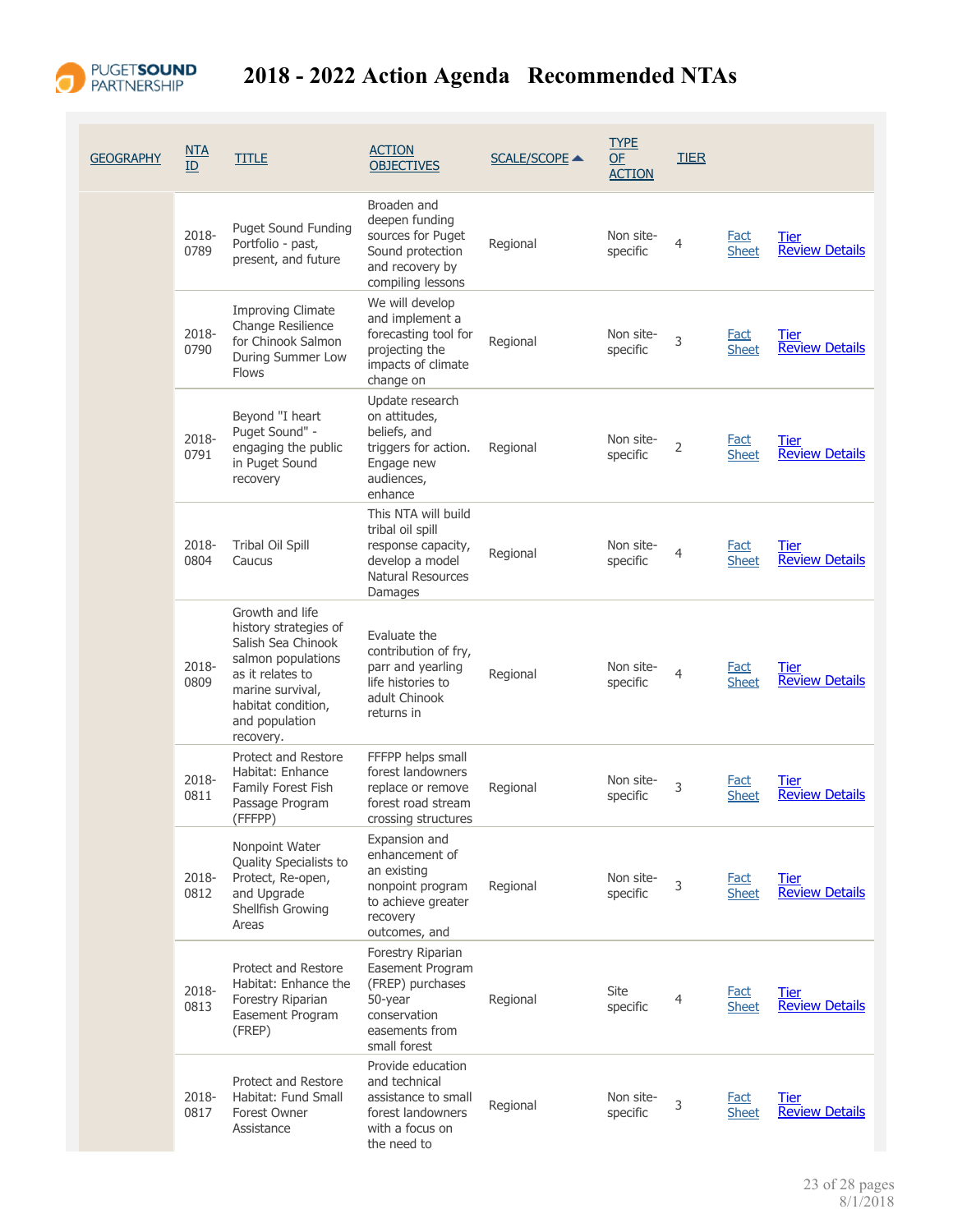

| <b>GEOGRAPHY</b> | NTA<br>ID     | <b>TITLE</b>                                                                                                                                                                      | <b>ACTION</b><br><b>OBJECTIVES</b>                                                                                      | <b>SCALE/SCOPE ▲</b> | <b>TYPE</b><br>OF<br><b>ACTION</b> | <b>TIER</b>    |                             |                                      |
|------------------|---------------|-----------------------------------------------------------------------------------------------------------------------------------------------------------------------------------|-------------------------------------------------------------------------------------------------------------------------|----------------------|------------------------------------|----------------|-----------------------------|--------------------------------------|
|                  | 2018-<br>0789 | <b>Puget Sound Funding</b><br>Portfolio - past,<br>present, and future                                                                                                            | Broaden and<br>deepen funding<br>sources for Puget<br>Sound protection<br>and recovery by<br>compiling lessons          | Regional             | Non site-<br>specific              | $\overline{4}$ | Fact<br><b>Sheet</b>        | Tier<br><b>Review Details</b>        |
|                  | 2018-<br>0790 | <b>Improving Climate</b><br>Change Resilience<br>for Chinook Salmon<br>During Summer Low<br><b>Flows</b>                                                                          | We will develop<br>and implement a<br>forecasting tool for<br>projecting the<br>impacts of climate<br>change on         | Regional             | Non site-<br>specific              | 3              | Fact<br><b>Sheet</b>        | Tier<br><b>Review Details</b>        |
|                  | 2018-<br>0791 | Beyond "I heart<br>Puget Sound" -<br>engaging the public<br>in Puget Sound<br>recovery                                                                                            | Update research<br>on attitudes,<br>beliefs, and<br>triggers for action.<br>Engage new<br>audiences,<br>enhance         | Regional             | Non site-<br>specific              | $\overline{2}$ | <b>Fact</b><br><b>Sheet</b> | <b>Tier</b><br><b>Review Details</b> |
|                  | 2018-<br>0804 | <b>Tribal Oil Spill</b><br>Caucus                                                                                                                                                 | This NTA will build<br>tribal oil spill<br>response capacity,<br>develop a model<br><b>Natural Resources</b><br>Damages | Regional             | Non site-<br>specific              | 4              | <b>Fact</b><br><b>Sheet</b> | <b>Tier</b><br><b>Review Details</b> |
|                  | 2018-<br>0809 | Growth and life<br>history strategies of<br>Salish Sea Chinook<br>salmon populations<br>as it relates to<br>marine survival,<br>habitat condition,<br>and population<br>recovery. | Evaluate the<br>contribution of fry,<br>parr and yearling<br>life histories to<br>adult Chinook<br>returns in           | Regional             | Non site-<br>specific              | $\overline{4}$ | <b>Fact</b><br><b>Sheet</b> | Tier<br><b>Review Details</b>        |
|                  | 2018-<br>0811 | Protect and Restore<br>Habitat: Enhance<br>Family Forest Fish<br>Passage Program<br>(FFFPP)                                                                                       | FFFPP helps small<br>forest landowners<br>replace or remove<br>forest road stream<br>crossing structures                | Regional             | Non site-<br>specific              | 3              | <b>Fact</b><br><b>Sheet</b> | Tier<br><b>Review Details</b>        |
|                  | 2018-<br>0812 | Nonpoint Water<br>Quality Specialists to<br>Protect, Re-open,<br>and Upgrade<br>Shellfish Growing<br>Areas                                                                        | Expansion and<br>enhancement of<br>an existing<br>nonpoint program<br>to achieve greater<br>recovery<br>outcomes, and   | Regional             | Non site-<br>specific              | 3              | <b>Fact</b><br><b>Sheet</b> | <b>Tier</b><br><b>Review Details</b> |
|                  | 2018-<br>0813 | Protect and Restore<br>Habitat: Enhance the<br>Forestry Riparian<br>Easement Program<br>(FREP)                                                                                    | Forestry Riparian<br>Easement Program<br>(FREP) purchases<br>50-year<br>conservation<br>easements from<br>small forest  | Regional             | Site<br>specific                   | 4              | <b>Fact</b><br><b>Sheet</b> | <b>Tier</b><br><b>Review Details</b> |
|                  | 2018-<br>0817 | Protect and Restore<br>Habitat: Fund Small<br>Forest Owner<br>Assistance                                                                                                          | Provide education<br>and technical<br>assistance to small<br>forest landowners<br>with a focus on<br>the need to        | Regional             | Non site-<br>specific              | 3              | <b>Fact</b><br><b>Sheet</b> | <b>Tier</b><br><b>Review Details</b> |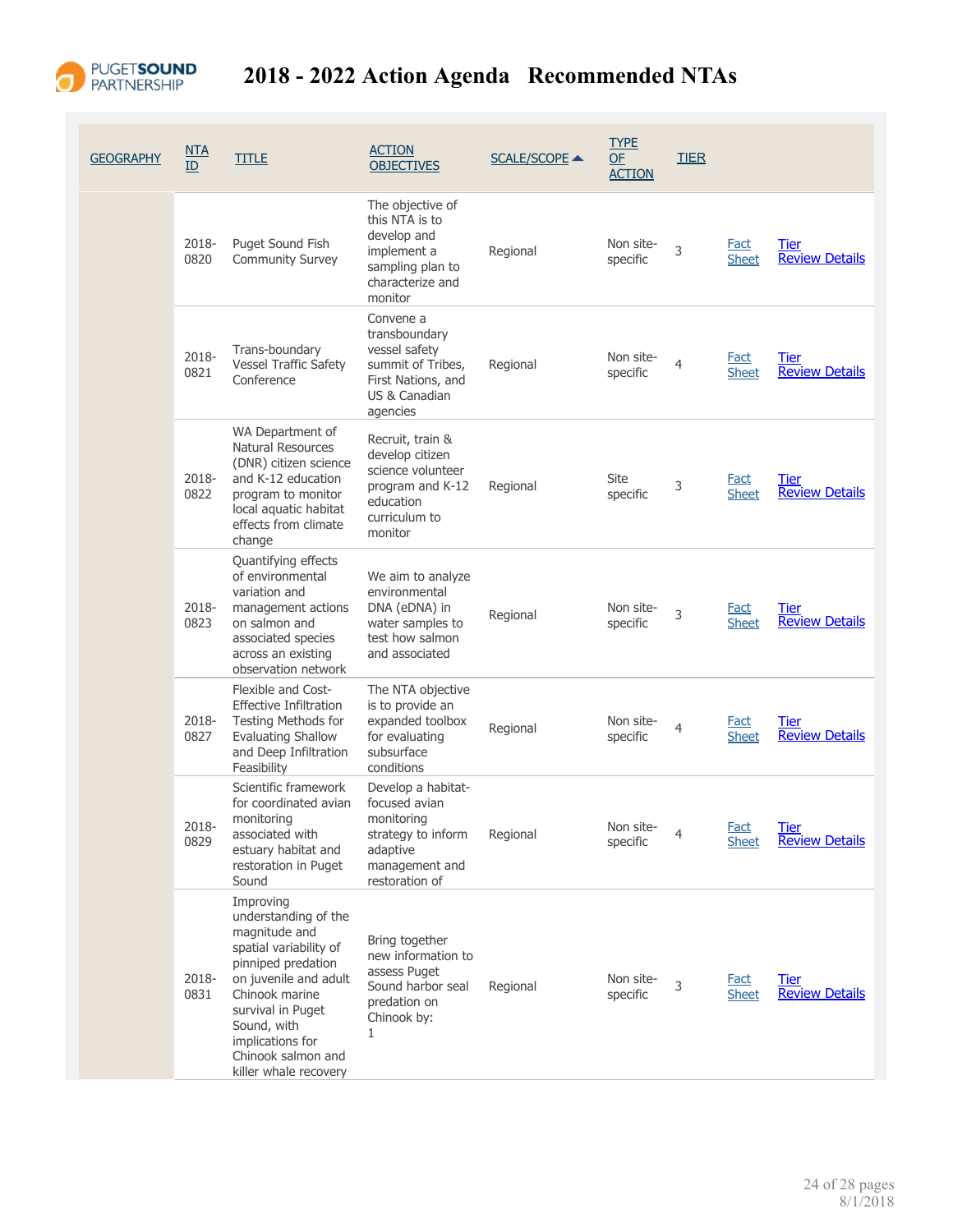

| GEOGRAPHY | NTA<br>ID     | <b>TITLE</b>                                                                                                                                                                                                                                         | <b>ACTION</b><br><b>OBJECTIVES</b>                                                                                      | <b>SCALE/SCOPE ▲</b> | <b>TYPE</b><br><b>OF</b><br><b>ACTION</b> | <b>TIER</b> |                             |                                      |
|-----------|---------------|------------------------------------------------------------------------------------------------------------------------------------------------------------------------------------------------------------------------------------------------------|-------------------------------------------------------------------------------------------------------------------------|----------------------|-------------------------------------------|-------------|-----------------------------|--------------------------------------|
|           | 2018-<br>0820 | Puget Sound Fish<br><b>Community Survey</b>                                                                                                                                                                                                          | The objective of<br>this NTA is to<br>develop and<br>implement a<br>sampling plan to<br>characterize and<br>monitor     | Regional             | Non site-<br>specific                     | 3           | <b>Fact</b><br><b>Sheet</b> | <b>Tier</b><br><b>Review Details</b> |
|           | 2018-<br>0821 | Trans-boundary<br><b>Vessel Traffic Safety</b><br>Conference                                                                                                                                                                                         | Convene a<br>transboundary<br>vessel safety<br>summit of Tribes,<br>First Nations, and<br>US & Canadian<br>agencies     | Regional             | Non site-<br>specific                     | 4           | <b>Fact</b><br>Sheet        | Tier<br><b>Review Details</b>        |
|           | 2018-<br>0822 | WA Department of<br>Natural Resources<br>(DNR) citizen science<br>and K-12 education<br>program to monitor<br>local aquatic habitat<br>effects from climate<br>change                                                                                | Recruit, train &<br>develop citizen<br>science volunteer<br>program and K-12<br>education<br>curriculum to<br>monitor   | Regional             | Site<br>specific                          | 3           | <b>Fact</b><br><b>Sheet</b> | Tier<br><b>Review Details</b>        |
|           | 2018-<br>0823 | Quantifying effects<br>of environmental<br>variation and<br>management actions<br>on salmon and<br>associated species<br>across an existing<br>observation network                                                                                   | We aim to analyze<br>environmental<br>DNA (eDNA) in<br>water samples to<br>test how salmon<br>and associated            | Regional             | Non site-<br>specific                     | 3           | <b>Fact</b><br>Sheet        | <b>Tier</b><br><b>Review Details</b> |
|           | 2018-<br>0827 | Flexible and Cost-<br><b>Effective Infiltration</b><br>Testing Methods for<br><b>Evaluating Shallow</b><br>and Deep Infiltration<br>Feasibility                                                                                                      | The NTA objective<br>is to provide an<br>expanded toolbox<br>for evaluating<br>subsurface<br>conditions                 | Regional             | Non site-<br>specific                     | 4           | <b>Fact</b><br><b>Sheet</b> | <b>Tier</b><br><b>Review Details</b> |
|           | 2018-<br>0829 | Scientific framework<br>for coordinated avian<br>monitoring<br>associated with<br>estuary habitat and<br>restoration in Puget<br>Sound                                                                                                               | Develop a habitat-<br>focused avian<br>monitoring<br>strategy to inform<br>adaptive<br>management and<br>restoration of | Regional             | Non site-<br>specific                     | 4           | <u>Fact</u><br><b>Sheet</b> | <b>Tier</b><br><b>Review Details</b> |
|           | 2018-<br>0831 | Improving<br>understanding of the<br>magnitude and<br>spatial variability of<br>pinniped predation<br>on juvenile and adult<br>Chinook marine<br>survival in Puget<br>Sound, with<br>implications for<br>Chinook salmon and<br>killer whale recovery | Bring together<br>new information to<br>assess Puget<br>Sound harbor seal<br>predation on<br>Chinook by:<br>1           | Regional             | Non site-<br>specific                     | 3           | Fact<br><b>Sheet</b>        | <b>Tier</b><br><b>Review Details</b> |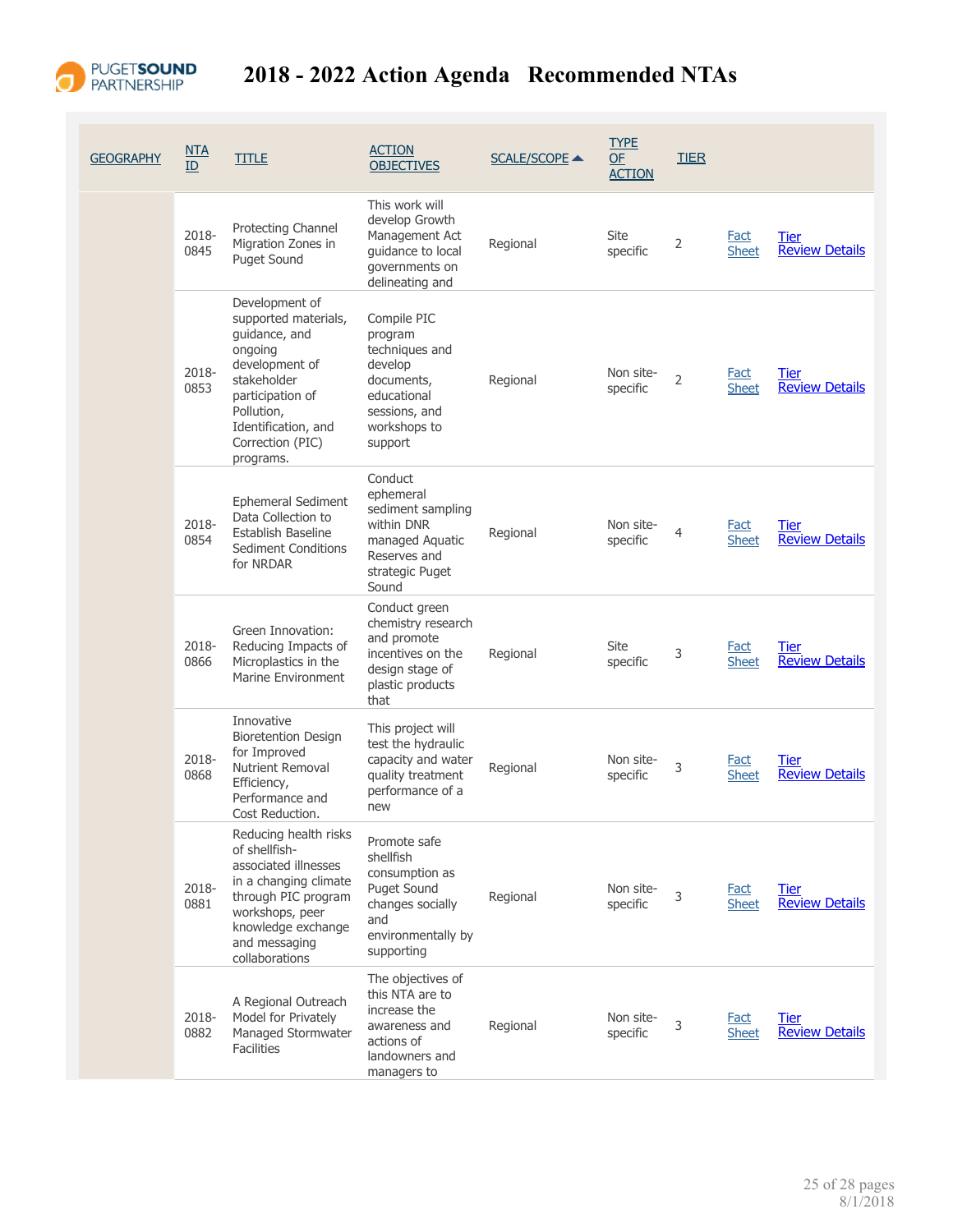

| <b>GEOGRAPHY</b> | NTA<br>ID     | <b>TITLE</b>                                                                                                                                                                                  | <b>ACTION</b><br><b>OBJECTIVES</b>                                                                                           | <b>SCALE/SCOPE ▲</b> | <b>TYPE</b><br><b>OF</b><br><b>ACTION</b> | <b>TIER</b>    |                             |                                      |
|------------------|---------------|-----------------------------------------------------------------------------------------------------------------------------------------------------------------------------------------------|------------------------------------------------------------------------------------------------------------------------------|----------------------|-------------------------------------------|----------------|-----------------------------|--------------------------------------|
|                  | 2018-<br>0845 | Protecting Channel<br>Migration Zones in<br><b>Puget Sound</b>                                                                                                                                | This work will<br>develop Growth<br>Management Act<br>guidance to local<br>governments on<br>delineating and                 | Regional             | Site<br>specific                          | 2              | Fact<br><b>Sheet</b>        | <b>Tier</b><br><b>Review Details</b> |
|                  | 2018-<br>0853 | Development of<br>supported materials,<br>guidance, and<br>ongoing<br>development of<br>stakeholder<br>participation of<br>Pollution,<br>Identification, and<br>Correction (PIC)<br>programs. | Compile PIC<br>program<br>techniques and<br>develop<br>documents,<br>educational<br>sessions, and<br>workshops to<br>support | Regional             | Non site-<br>specific                     | $\overline{2}$ | <b>Fact</b><br><b>Sheet</b> | Tier<br><b>Review Details</b>        |
|                  | 2018-<br>0854 | Ephemeral Sediment<br>Data Collection to<br>Establish Baseline<br>Sediment Conditions<br>for NRDAR                                                                                            | Conduct<br>ephemeral<br>sediment sampling<br>within DNR<br>managed Aquatic<br>Reserves and<br>strategic Puget<br>Sound       | Regional             | Non site-<br>specific                     | 4              | <b>Fact</b><br><b>Sheet</b> | Tier<br><b>Review Details</b>        |
|                  | 2018-<br>0866 | Green Innovation:<br>Reducing Impacts of<br>Microplastics in the<br>Marine Environment                                                                                                        | Conduct green<br>chemistry research<br>and promote<br>incentives on the<br>design stage of<br>plastic products<br>that       | Regional             | Site<br>specific                          | 3              | <b>Fact</b><br><b>Sheet</b> | Tier<br><b>Review Details</b>        |
|                  | 2018-<br>0868 | Innovative<br><b>Bioretention Design</b><br>for Improved<br>Nutrient Removal<br>Efficiency,<br>Performance and<br>Cost Reduction.                                                             | This project will<br>test the hydraulic<br>capacity and water<br>quality treatment<br>performance of a<br>new                | Regional             | Non site-<br>specific                     | 3              | Fact<br><b>Sheet</b>        | Tier<br><b>Review Details</b>        |
|                  | 2018-<br>0881 | Reducing health risks<br>of shellfish-<br>associated illnesses<br>in a changing climate<br>through PIC program<br>workshops, peer<br>knowledge exchange<br>and messaging<br>collaborations    | Promote safe<br>shellfish<br>consumption as<br>Puget Sound<br>changes socially<br>and<br>environmentally by<br>supporting    | Regional             | Non site-<br>specific                     | 3              | <b>Fact</b><br><b>Sheet</b> | <b>Tier</b><br><b>Review Details</b> |
|                  | 2018-<br>0882 | A Regional Outreach<br>Model for Privately<br>Managed Stormwater<br><b>Facilities</b>                                                                                                         | The objectives of<br>this NTA are to<br>increase the<br>awareness and<br>actions of<br>landowners and<br>managers to         | Regional             | Non site-<br>specific                     | 3              | <b>Fact</b><br><b>Sheet</b> | Tier<br><b>Review Details</b>        |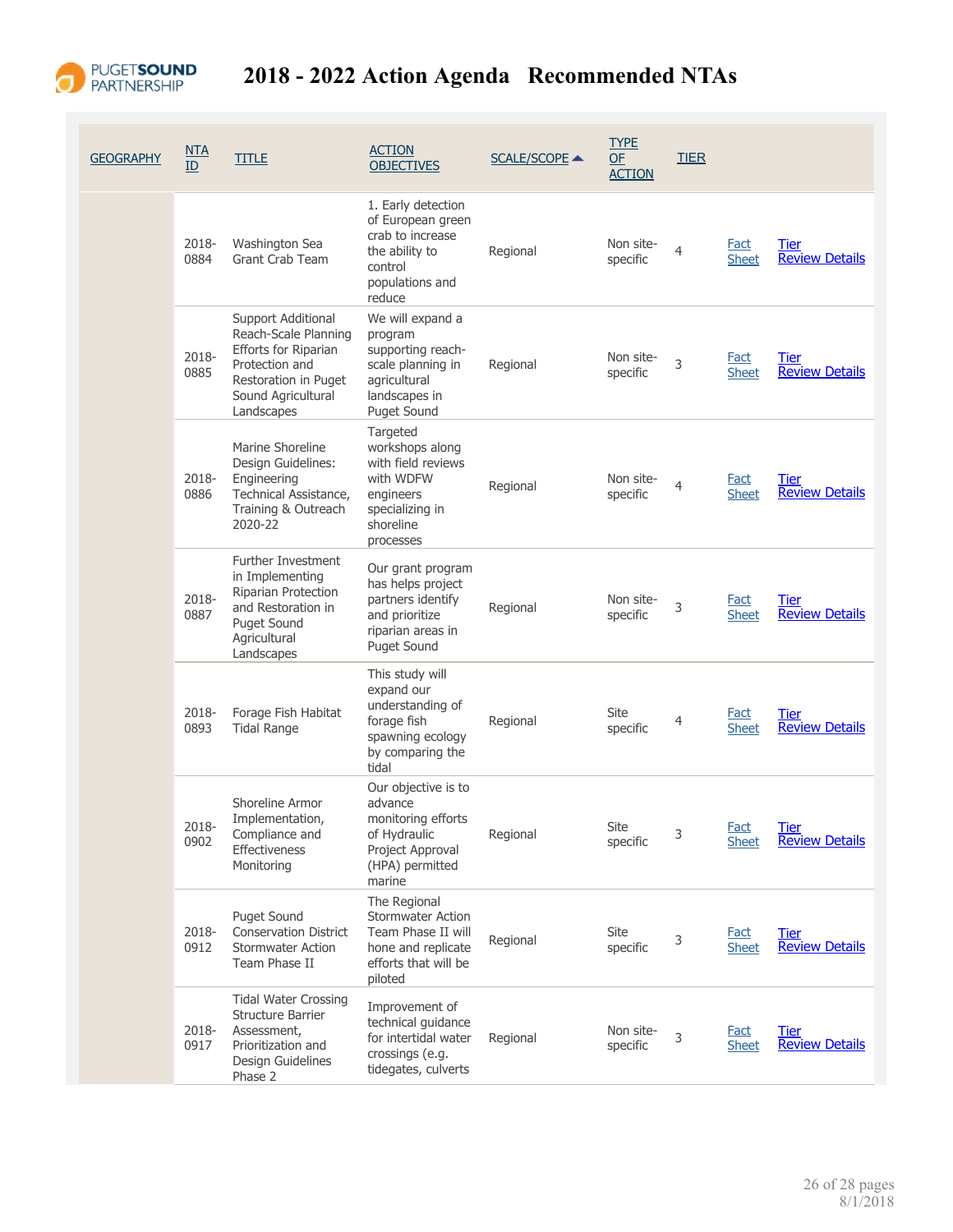

| <b>GEOGRAPHY</b> | <u>NTA</u><br>ID | <b>TITLE</b>                                                                                                                                     | <b>ACTION</b><br><b>OBJECTIVES</b>                                                                                           | <b>SCALE/SCOPE ▲</b> | <b>TYPE</b><br>OF<br><b>ACTION</b> | <b>TIER</b>    |                             |                                      |
|------------------|------------------|--------------------------------------------------------------------------------------------------------------------------------------------------|------------------------------------------------------------------------------------------------------------------------------|----------------------|------------------------------------|----------------|-----------------------------|--------------------------------------|
|                  | 2018-<br>0884    | Washington Sea<br><b>Grant Crab Team</b>                                                                                                         | 1. Early detection<br>of European green<br>crab to increase<br>the ability to<br>control<br>populations and<br>reduce        | Regional             | Non site-<br>specific              | $\overline{4}$ | <b>Fact</b><br><b>Sheet</b> | <b>Tier</b><br><b>Review Details</b> |
|                  | 2018-<br>0885    | Support Additional<br>Reach-Scale Planning<br>Efforts for Riparian<br>Protection and<br>Restoration in Puget<br>Sound Agricultural<br>Landscapes | We will expand a<br>program<br>supporting reach-<br>scale planning in<br>agricultural<br>landscapes in<br><b>Puget Sound</b> | Regional             | Non site-<br>specific              | 3              | <b>Fact</b><br><b>Sheet</b> | <b>Tier</b><br><b>Review Details</b> |
|                  | 2018-<br>0886    | Marine Shoreline<br>Design Guidelines:<br>Engineering<br>Technical Assistance,<br>Training & Outreach<br>2020-22                                 | Targeted<br>workshops along<br>with field reviews<br>with WDFW<br>engineers<br>specializing in<br>shoreline<br>processes     | Regional             | Non site-<br>specific              | $\overline{4}$ | <b>Fact</b><br><b>Sheet</b> | <b>Tier</b><br><b>Review Details</b> |
|                  | 2018-<br>0887    | <b>Further Investment</b><br>in Implementing<br>Riparian Protection<br>and Restoration in<br>Puget Sound<br>Agricultural<br>Landscapes           | Our grant program<br>has helps project<br>partners identify<br>and prioritize<br>riparian areas in<br><b>Puget Sound</b>     | Regional             | Non site-<br>specific              | 3              | <b>Fact</b><br><b>Sheet</b> | Tier<br><b>Review Details</b>        |
|                  | 2018-<br>0893    | Forage Fish Habitat<br><b>Tidal Range</b>                                                                                                        | This study will<br>expand our<br>understanding of<br>forage fish<br>spawning ecology<br>by comparing the<br>tidal            | Regional             | Site<br>specific                   | 4              | Fact<br><b>Sheet</b>        | Tier<br><b>Review Details</b>        |
|                  | 2018-<br>0902    | Shoreline Armor<br>Implementation,<br>Compliance and<br>Effectiveness<br>Monitoring                                                              | Our objective is to<br>advance<br>monitoring efforts<br>of Hydraulic<br>Project Approval<br>(HPA) permitted<br>marine        | Regional             | Site<br>specific                   | 3              | <b>Fact</b><br><b>Sheet</b> | <b>Tier</b><br><b>Review Details</b> |
|                  | 2018-<br>0912    | Puget Sound<br><b>Conservation District</b><br><b>Stormwater Action</b><br>Team Phase II                                                         | The Regional<br><b>Stormwater Action</b><br>Team Phase II will<br>hone and replicate<br>efforts that will be<br>piloted      | Regional             | Site<br>specific                   | 3              | Fact<br><b>Sheet</b>        | Tier<br><b>Review Details</b>        |
|                  | 2018-<br>0917    | <b>Tidal Water Crossing</b><br><b>Structure Barrier</b><br>Assessment,<br>Prioritization and<br>Design Guidelines<br>Phase 2                     | Improvement of<br>technical guidance<br>for intertidal water<br>crossings (e.g.<br>tidegates, culverts                       | Regional             | Non site-<br>specific              | 3              | <b>Fact</b><br><b>Sheet</b> | Tier<br><b>Review Details</b>        |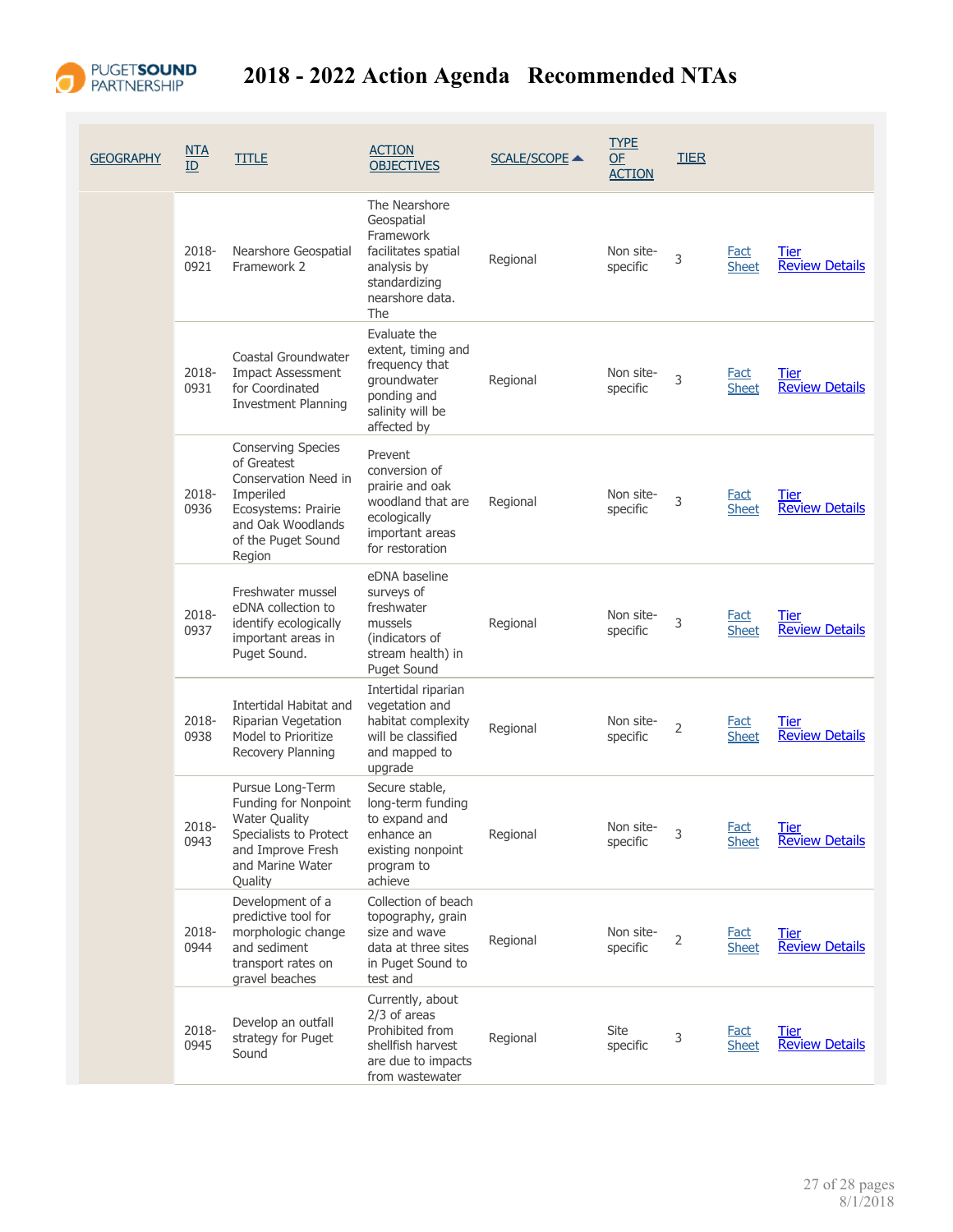

| <b>GEOGRAPHY</b> | <u>NTA</u><br>ID | <b>TITLE</b>                                                                                                                                       | <b>ACTION</b><br><b>OBJECTIVES</b>                                                                                        | <b>SCALE/SCOPE ▲</b> | <b>TYPE</b><br><b>OF</b><br><b>ACTION</b> | <b>TIER</b>    |                             |                                      |
|------------------|------------------|----------------------------------------------------------------------------------------------------------------------------------------------------|---------------------------------------------------------------------------------------------------------------------------|----------------------|-------------------------------------------|----------------|-----------------------------|--------------------------------------|
|                  | 2018-<br>0921    | Nearshore Geospatial<br>Framework 2                                                                                                                | The Nearshore<br>Geospatial<br>Framework<br>facilitates spatial<br>analysis by<br>standardizing<br>nearshore data.<br>The | Regional             | Non site-<br>specific                     | 3              | <b>Fact</b><br><b>Sheet</b> | Tier<br><b>Review Details</b>        |
|                  | 2018-<br>0931    | Coastal Groundwater<br><b>Impact Assessment</b><br>for Coordinated<br><b>Investment Planning</b>                                                   | Evaluate the<br>extent, timing and<br>frequency that<br>groundwater<br>ponding and<br>salinity will be<br>affected by     | Regional             | Non site-<br>specific                     | 3              | <b>Fact</b><br><b>Sheet</b> | Tier<br><b>Review Details</b>        |
|                  | 2018-<br>0936    | Conserving Species<br>of Greatest<br>Conservation Need in<br>Imperiled<br>Ecosystems: Prairie<br>and Oak Woodlands<br>of the Puget Sound<br>Region | Prevent<br>conversion of<br>prairie and oak<br>woodland that are<br>ecologically<br>important areas<br>for restoration    | Regional             | Non site-<br>specific                     | 3              | <b>Fact</b><br><b>Sheet</b> | Tier<br><b>Review Details</b>        |
|                  | 2018-<br>0937    | Freshwater mussel<br>eDNA collection to<br>identify ecologically<br>important areas in<br>Puget Sound.                                             | eDNA baseline<br>surveys of<br>freshwater<br>mussels<br>(indicators of<br>stream health) in<br><b>Puget Sound</b>         | Regional             | Non site-<br>specific                     | 3              | <b>Fact</b><br><b>Sheet</b> | Tier<br><b>Review Details</b>        |
|                  | 2018-<br>0938    | Intertidal Habitat and<br>Riparian Vegetation<br>Model to Prioritize<br>Recovery Planning                                                          | Intertidal riparian<br>vegetation and<br>habitat complexity<br>will be classified<br>and mapped to<br>upgrade             | Regional             | Non site-<br>specific                     | $\overline{2}$ | <b>Fact</b><br><b>Sheet</b> | Tier<br><b>Review Details</b>        |
|                  | 2018-<br>0943    | Pursue Long-Term<br>Funding for Nonpoint<br><b>Water Quality</b><br>Specialists to Protect<br>and Improve Fresh<br>and Marine Water<br>Quality     | Secure stable,<br>long-term funding<br>to expand and<br>enhance an<br>existing nonpoint<br>program to<br>achieve          | Regional             | Non site-<br>specific                     | 3              | <u>Fact</u><br><b>Sheet</b> | <b>Tier</b><br><b>Review Details</b> |
|                  | 2018-<br>0944    | Development of a<br>predictive tool for<br>morphologic change<br>and sediment<br>transport rates on<br>gravel beaches                              | Collection of beach<br>topography, grain<br>size and wave<br>data at three sites<br>in Puget Sound to<br>test and         | Regional             | Non site-<br>specific                     | 2              | <b>Fact</b><br><b>Sheet</b> | Tier<br><b>Review Details</b>        |
|                  | 2018-<br>0945    | Develop an outfall<br>strategy for Puget<br>Sound                                                                                                  | Currently, about<br>$2/3$ of areas<br>Prohibited from<br>shellfish harvest<br>are due to impacts<br>from wastewater       | Regional             | Site<br>specific                          | 3              | <b>Fact</b><br><b>Sheet</b> | <b>Tier</b><br><b>Review Details</b> |